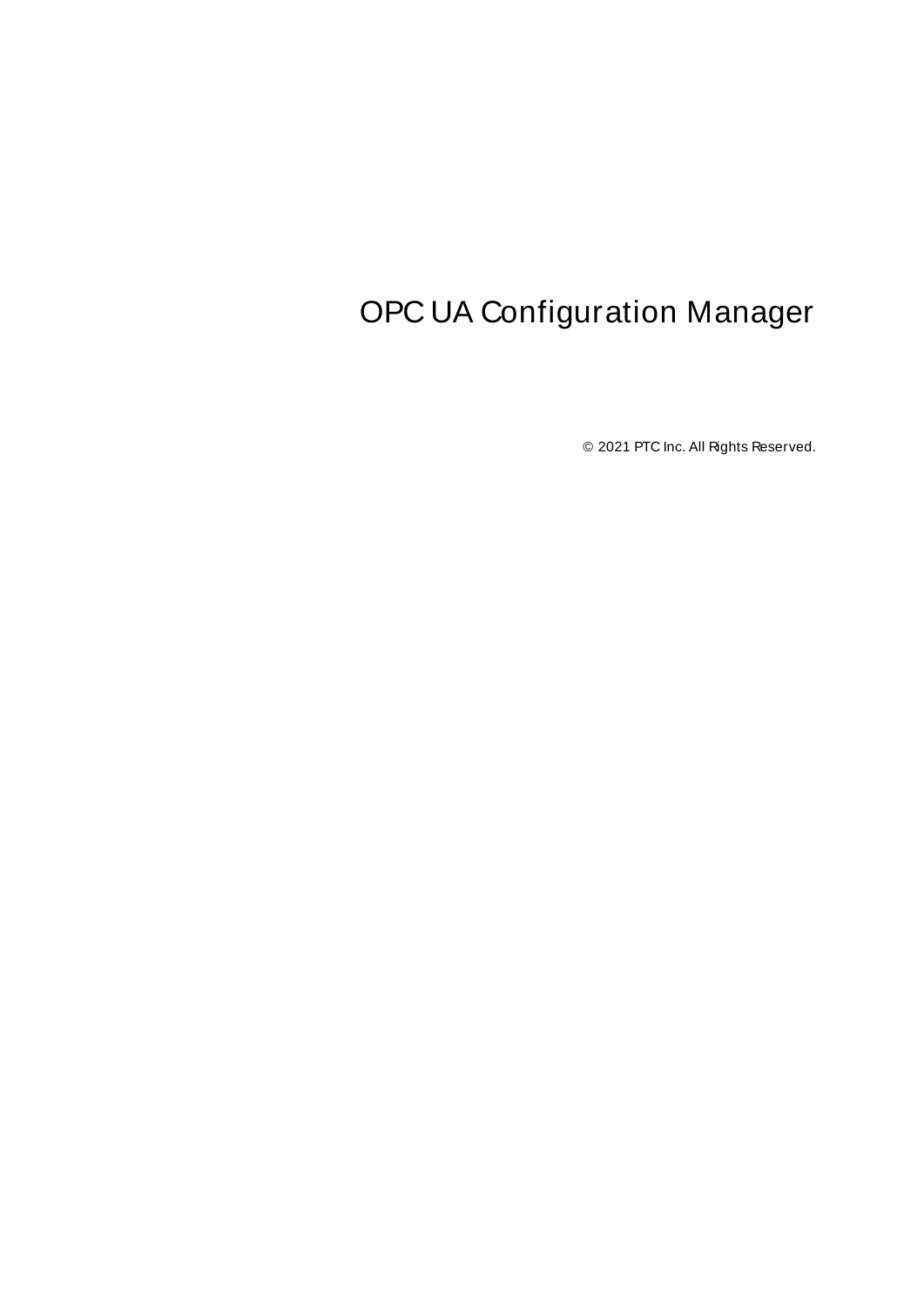# <span id="page-0-0"></span>OPC UA Configuration Manager

© 2021 PTC Inc. All Rights Reserved.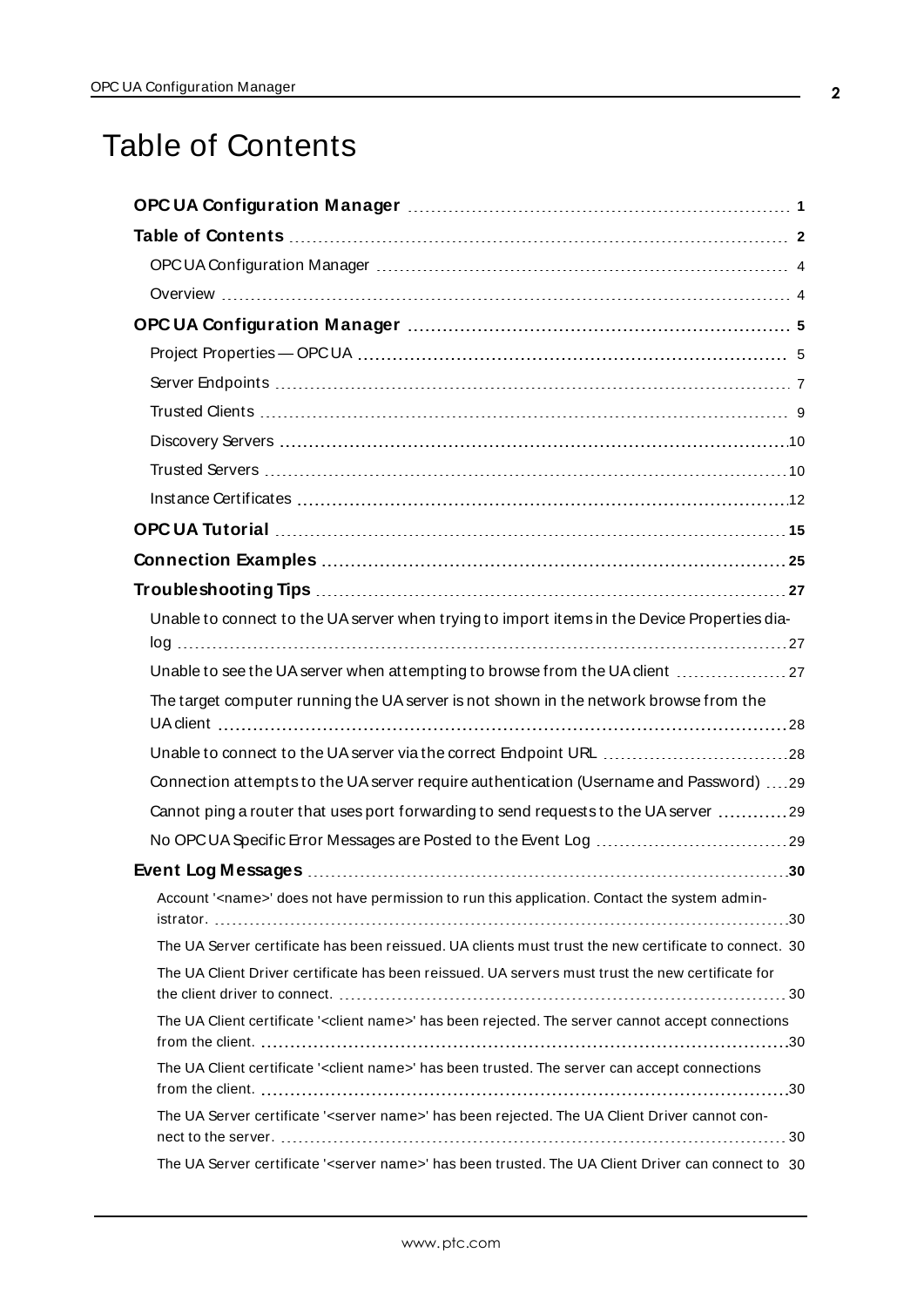# <span id="page-1-0"></span>Table of Contents

| Unable to connect to the UA server when trying to import items in the Device Properties dia-                    |
|-----------------------------------------------------------------------------------------------------------------|
| Unable to see the UA server when attempting to browse from the UA client  27                                    |
| The target computer running the UA server is not shown in the network browse from the                           |
|                                                                                                                 |
| Connection attempts to the UA server require authentication (Username and Password) 29                          |
| Cannot ping a router that uses port forwarding to send requests to the UA server 29                             |
|                                                                                                                 |
|                                                                                                                 |
| Account ' <name>' does not have permission to run this application. Contact the system admin-</name>            |
| The UA Server certificate has been reissued. UA clients must trust the new certificate to connect. 30           |
| The UA Client Driver certificate has been reissued. UA servers must trust the new certificate for               |
| The UA Client certificate ' <client name="">' has been rejected. The server cannot accept connections</client>  |
| The UA Client certificate ' <client name="">' has been trusted. The server can accept connections</client>      |
| The UA Server certificate ' <server name="">' has been rejected. The UA Client Driver cannot con-</server>      |
| The UA Server certificate ' <server name="">' has been trusted. The UA Client Driver can connect to 30</server> |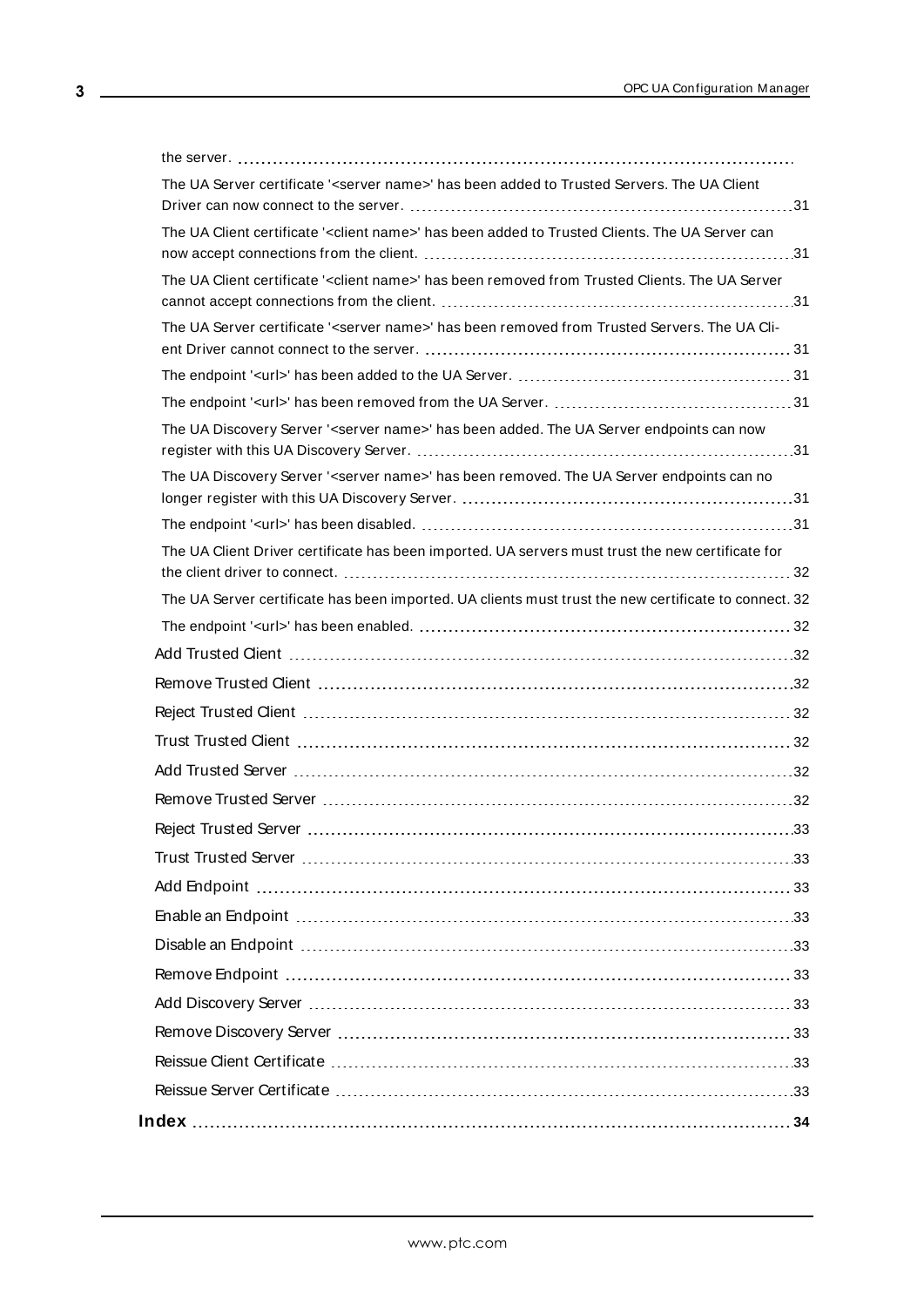| The UA Server certificate ' <server name="">' has been added to Trusted Servers. The UA Client</server>     |  |
|-------------------------------------------------------------------------------------------------------------|--|
|                                                                                                             |  |
| The UA Client certificate ' <client name="">' has been added to Trusted Clients. The UA Server can</client> |  |
| The UA Client certificate ' <client name="">' has been removed from Trusted Clients. The UA Server</client> |  |
| The UA Server certificate ' <server name="">' has been removed from Trusted Servers. The UA Cli-</server>   |  |
|                                                                                                             |  |
|                                                                                                             |  |
| The UA Discovery Server ' <server name="">' has been added. The UA Server endpoints can now</server>        |  |
| The UA Discovery Server ' <server name="">' has been removed. The UA Server endpoints can no</server>       |  |
|                                                                                                             |  |
| The UA Client Driver certificate has been imported. UA servers must trust the new certificate for           |  |
|                                                                                                             |  |
| The UA Server certificate has been imported. UA clients must trust the new certificate to connect. 32       |  |
|                                                                                                             |  |
|                                                                                                             |  |
|                                                                                                             |  |
|                                                                                                             |  |
|                                                                                                             |  |
|                                                                                                             |  |
|                                                                                                             |  |
|                                                                                                             |  |
|                                                                                                             |  |
|                                                                                                             |  |
|                                                                                                             |  |
|                                                                                                             |  |
|                                                                                                             |  |
|                                                                                                             |  |
|                                                                                                             |  |
|                                                                                                             |  |
|                                                                                                             |  |
|                                                                                                             |  |
|                                                                                                             |  |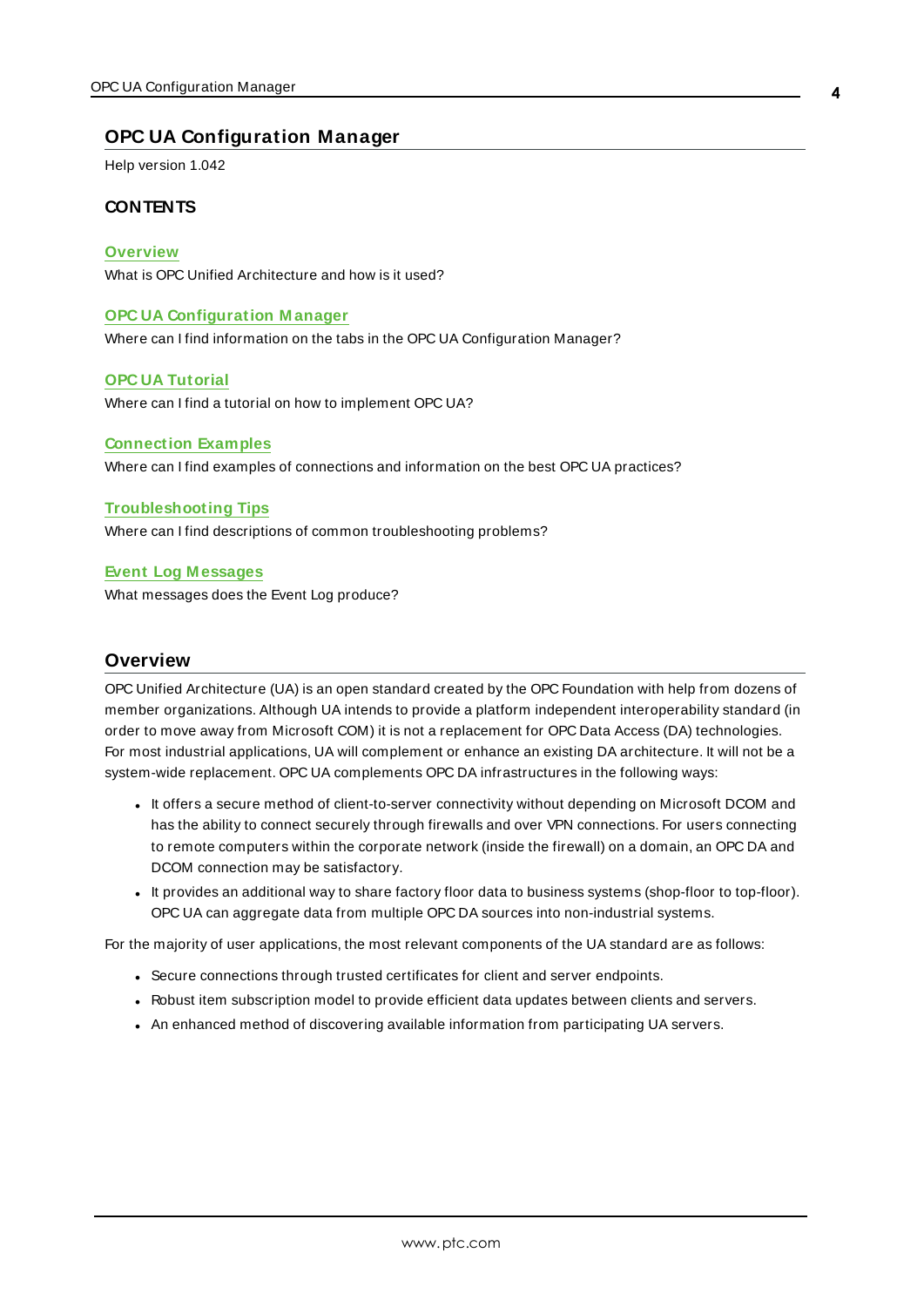### <span id="page-3-0"></span>**OPC UA Configuration Manager**

Help version 1.042

### **CONTENTS**

#### **[Overview](#page-3-1)**

What is OPC Unified Architecture and how is it used?

#### **OPC UA [Configuration](#page-4-0) M anager**

Where can I find information on the tabs in the OPC UA Configuration Manager?

#### **OPC UA [Tutorial](#page-14-0)**

Where can I find a tutorial on how to implement OPC UA?

#### **[Connection](#page-24-0) Examples**

Where can I find examples of connections and information on the best OPC UA practices?

#### **[Troubleshooting](#page-26-0) Tips**

Where can I find descriptions of common troubleshooting problems?

#### **Event Log [M essages](#page-29-1)**

<span id="page-3-1"></span>What messages does the Event Log produce?

### <span id="page-3-2"></span>**Overview**

OPC Unified Architecture (UA) is an open standard created by the OPC Foundation with help from dozens of member organizations. Although UA intends to provide a platform independent interoperability standard (in order to move away from Microsoft COM) it is not a replacement for OPC Data Access (DA) technologies. For most industrial applications, UA will complement or enhance an existing DA architecture. It will not be a system-wide replacement. OPC UA complements OPC DA infrastructures in the following ways:

- It offers a secure method of client-to-server connectivity without depending on Microsoft DCOM and has the ability to connect securely through firewalls and over VPN connections. For users connecting to remote computers within the corporate network (inside the firewall) on a domain, an OPC DA and DCOM connection may be satisfactory.
- . It provides an additional way to share factory floor data to business systems (shop-floor to top-floor). OPC UA can aggregate data from multiple OPC DA sources into non-industrial systems.

For the majority of user applications, the most relevant components of the UA standard are as follows:

- Secure connections through trusted certificates for client and server endpoints.
- Robust item subscription model to provide efficient data updates between clients and servers.
- An enhanced method of discovering available information from participating UA servers.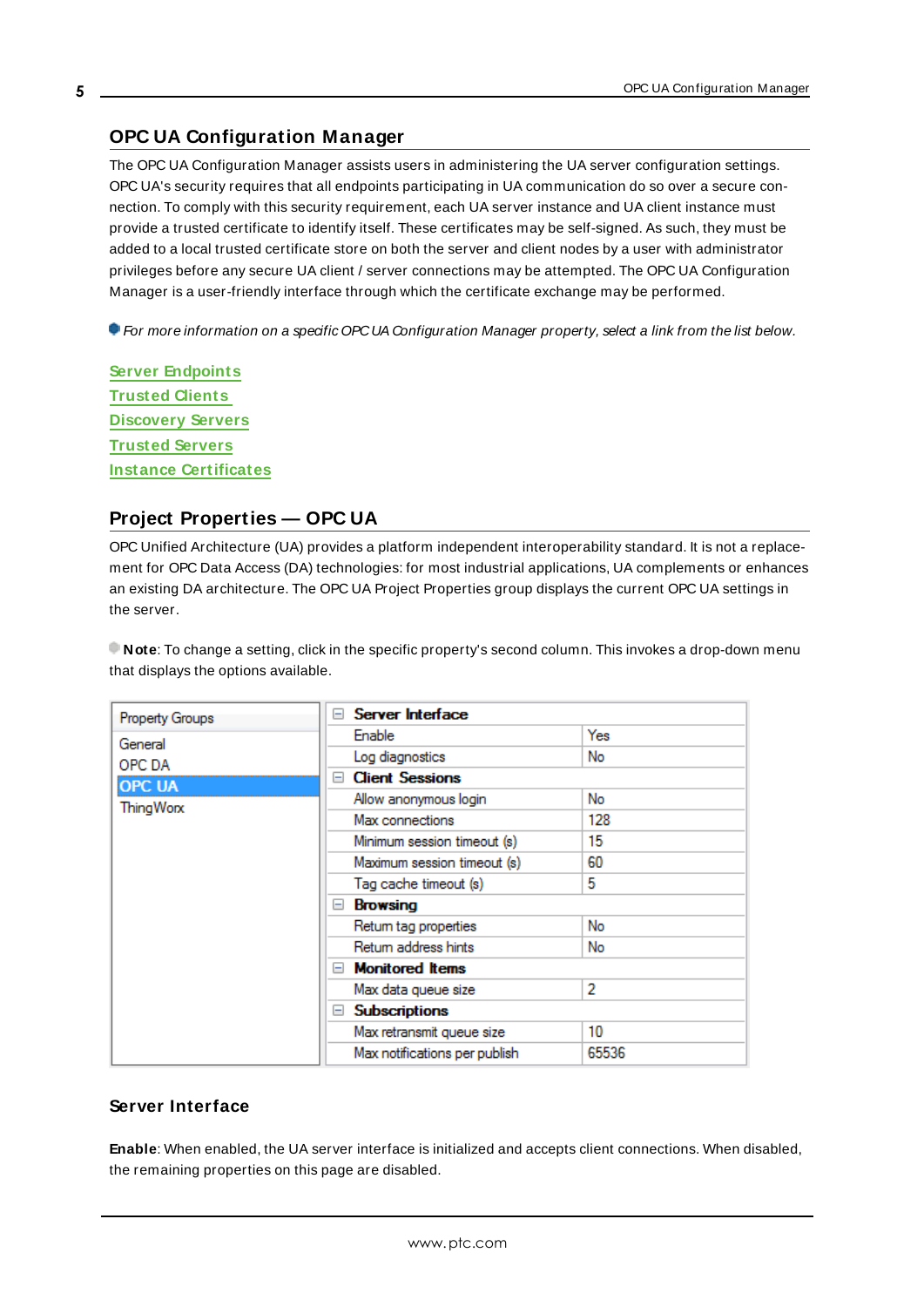# <span id="page-4-0"></span>**OPC UA Configuration Manager**

The OPC UA Configuration Manager assists users in administering the UA server configuration settings. OPC UA's security requires that all endpoints participating in UA communication do so over a secure connection. To comply with this security requirement, each UA server instance and UA client instance must provide a trusted certificate to identify itself. These certificates may be self-signed. As such, they must be added to a local trusted certificate store on both the server and client nodes by a user with administrator privileges before any secure UA client / server connections may be attempted. The OPC UA Configuration Manager is a user-friendly interface through which the certificate exchange may be performed.

For more information on a specific OPCUA Configuration Manager property, select a link from the list below.

**Server [Endpoints](#page-6-0) [Trusted](#page-8-0) Clients [Discovery](#page-9-0) Servers [Trusted](#page-9-1) Servers Instance [Certificates](#page-11-0)**

# <span id="page-4-1"></span>**Project Properties — OPC UA**

OPC Unified Architecture (UA) provides a platform independent interoperability standard. It is not a replacement for OPC Data Access (DA) technologies: for most industrial applications, UA complements or enhances an existing DA architecture. The OPC UA Project Properties group displays the current OPC UA settings in the server.

**Note**: To change a setting, click in the specific property's second column. This invokes a drop-down menu that displays the options available.

| Property Groups  | $\Box$ Server Interface       |       |
|------------------|-------------------------------|-------|
| General          | Enable                        | Yes   |
| OPC DA           | Log diagnostics               | No    |
| <b>OPC UA</b>    | <b>Client Sessions</b><br>E   |       |
| <b>ThingWorx</b> | Allow anonymous login         | No    |
|                  | Max connections               | 128   |
|                  | Minimum session timeout (s)   | 15    |
|                  | Maximum session timeout (s)   | 60    |
|                  | Tag cache timeout (s)         | 5     |
|                  | Browsing<br>н                 |       |
|                  | Retum tag properties          | No    |
|                  | Retum address hints           | No    |
|                  | $\Box$ Monitored Items        |       |
|                  | Max data queue size           | 2     |
|                  | <b>Subscriptions</b><br>$-$   |       |
|                  | Max retransmit queue size     | 10    |
|                  | Max notifications per publish | 65536 |
|                  |                               |       |

## **Server Interface**

**Enable**: When enabled, the UA server interface is initialized and accepts client connections. When disabled, the remaining properties on this page are disabled.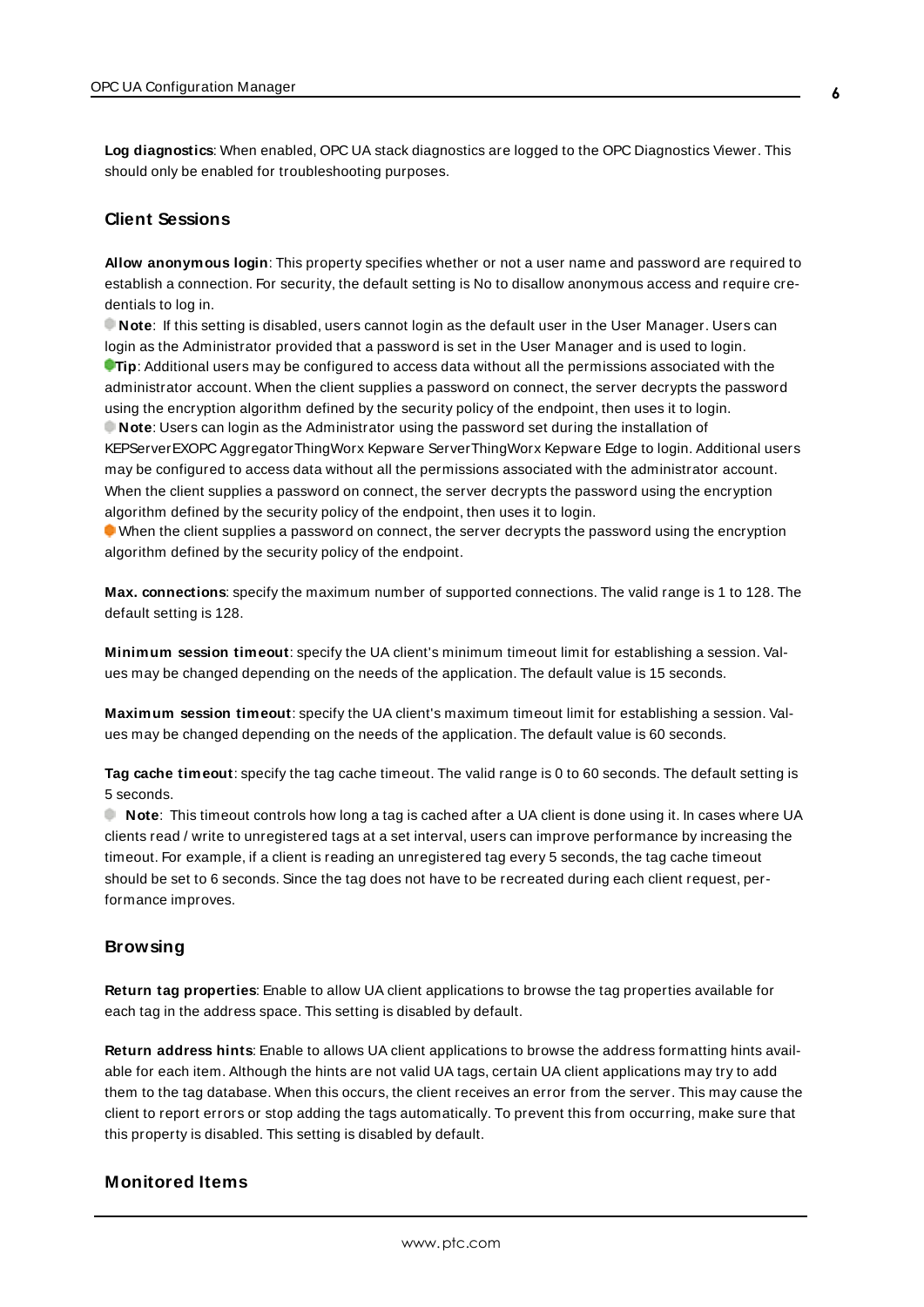**Log diagnostics**: When enabled, OPC UA stack diagnostics are logged to the OPC Diagnostics Viewer. This should only be enabled for troubleshooting purposes.

#### <span id="page-5-0"></span>**Client Sessions**

**Allow anonymous login**: This property specifies whether or not a user name and password are required to establish a connection. For security, the default setting is No to disallow anonymous access and require credentials to log in.

**Note**: If this setting is disabled, users cannot login as the default user in the User Manager. Users can login as the Administrator provided that a password is set in the User Manager and is used to login. **Tip**: Additional users may be configured to access data without all the permissions associated with the administrator account. When the client supplies a password on connect, the server decrypts the password using the encryption algorithm defined by the security policy of the endpoint, then uses it to login. **Note**: Users can login as the Administrator using the password set during the installation of KEPServerEXOPC AggregatorThingWorx Kepware ServerThingWorx Kepware Edge to login. Additional users may be configured to access data without all the permissions associated with the administrator account. When the client supplies a password on connect, the server decrypts the password using the encryption algorithm defined by the security policy of the endpoint, then uses it to login.

When the client supplies a password on connect, the server decrypts the password using the encryption algorithm defined by the security policy of the endpoint.

**Max. connections**: specify the maximum number of supported connections. The valid range is 1 to 128. The default setting is 128.

**Minimum session timeout**: specify the UA client's minimum timeout limit for establishing a session. Values may be changed depending on the needs of the application. The default value is 15 seconds.

**Maximum session timeout**: specify the UA client's maximum timeout limit for establishing a session. Values may be changed depending on the needs of the application. The default value is 60 seconds.

**Tag cache timeout**: specify the tag cache timeout. The valid range is 0 to 60 seconds. The default setting is 5 seconds.

 **Note**: This timeout controls how long a tag is cached after a UA client is done using it. In cases where UA clients read / write to unregistered tags at a set interval, users can improve performance by increasing the timeout. For example, if a client is reading an unregistered tag every 5 seconds, the tag cache timeout should be set to 6 seconds. Since the tag does not have to be recreated during each client request, performance improves.

#### **Browsing**

**Return tag properties**: Enable to allow UA client applications to browse the tag properties available for each tag in the address space. This setting is disabled by default.

**Return address hints**: Enable to allows UA client applications to browse the address formatting hints available for each item. Although the hints are not valid UA tags, certain UA client applications may try to add them to the tag database. When this occurs, the client receives an error from the server. This may cause the client to report errors or stop adding the tags automatically. To prevent this from occurring, make sure that this property is disabled. This setting is disabled by default.

### **Monitored Items**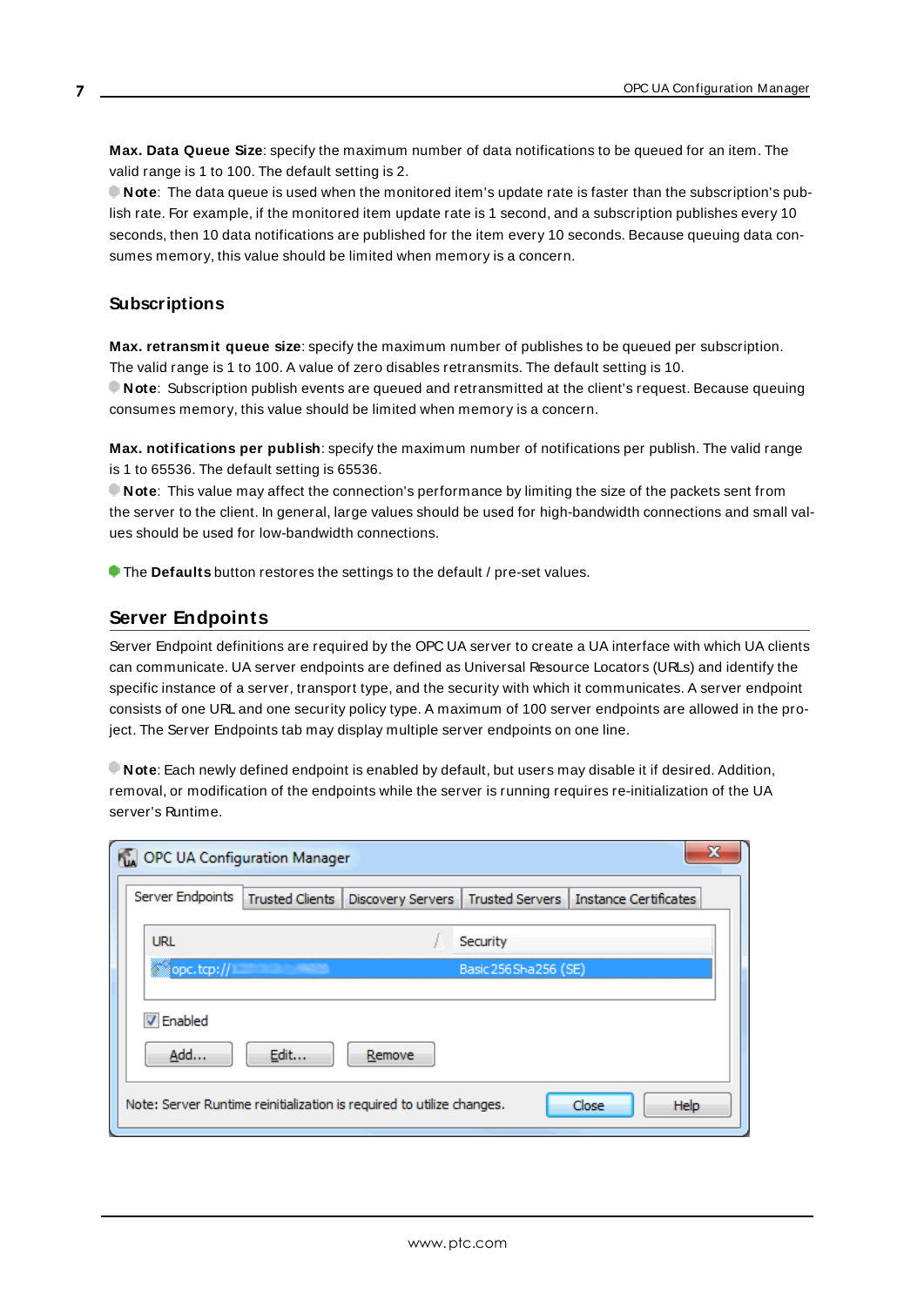**Max. Data Queue Size**: specify the maximum number of data notifications to be queued for an item. The valid range is 1 to 100. The default setting is 2.

**Note**: The data queue is used when the monitored item's update rate is faster than the subscription's publish rate. For example, if the monitored item update rate is 1 second, and a subscription publishes every 10 seconds, then 10 data notifications are published for the item every 10 seconds. Because queuing data consumes memory, this value should be limited when memory is a concern.

### **Subscriptions**

**Max. retransmit queue size**: specify the maximum number of publishes to be queued per subscription. The valid range is 1 to 100. A value of zero disables retransmits. The default setting is 10. **Note**: Subscription publish events are queued and retransmitted at the client's request. Because queuing

consumes memory, this value should be limited when memory is a concern. **Max. notifications per publish**: specify the maximum number of notifications per publish. The valid range

is 1 to 65536. The default setting is 65536.

**Note**: This value may affect the connection's performance by limiting the size of the packets sent from the server to the client. In general, large values should be used for high-bandwidth connections and small values should be used for low-bandwidth connections.

<span id="page-6-0"></span>**The Defaults** button restores the settings to the default / pre-set values.

## **Server Endpoints**

Server Endpoint definitions are required by the OPC UA server to create a UA interface with which UA clients can communicate. UA server endpoints are defined as Universal Resource Locators (URLs) and identify the specific instance of a server, transport type, and the security with which it communicates. A server endpoint consists of one URL and one security policy type. A maximum of 100 server endpoints are allowed in the project. The Server Endpoints tab may display multiple server endpoints on one line.

**Note**: Each newly defined endpoint is enabled by default, but users may disable it if desired. Addition, removal, or modification of the endpoints while the server is running requires re-initialization of the UA server's Runtime.

| x<br>OPC UA Configuration Manager |                        |                                                                       |                        |                                                             |  |
|-----------------------------------|------------------------|-----------------------------------------------------------------------|------------------------|-------------------------------------------------------------|--|
| Server Endpoints                  | <b>Trusted Clients</b> |                                                                       |                        | Discovery Servers   Trusted Servers   Instance Certificates |  |
| <b>URL</b>                        |                        |                                                                       | Security               |                                                             |  |
| opc.tcp://                        |                        |                                                                       | Basic 256 Sha 256 (SE) |                                                             |  |
| V Enabled<br>Add                  | Edit                   | Remove                                                                |                        |                                                             |  |
|                                   |                        | Note: Server Runtime reinitialization is required to utilize changes. |                        | Help<br>Close                                               |  |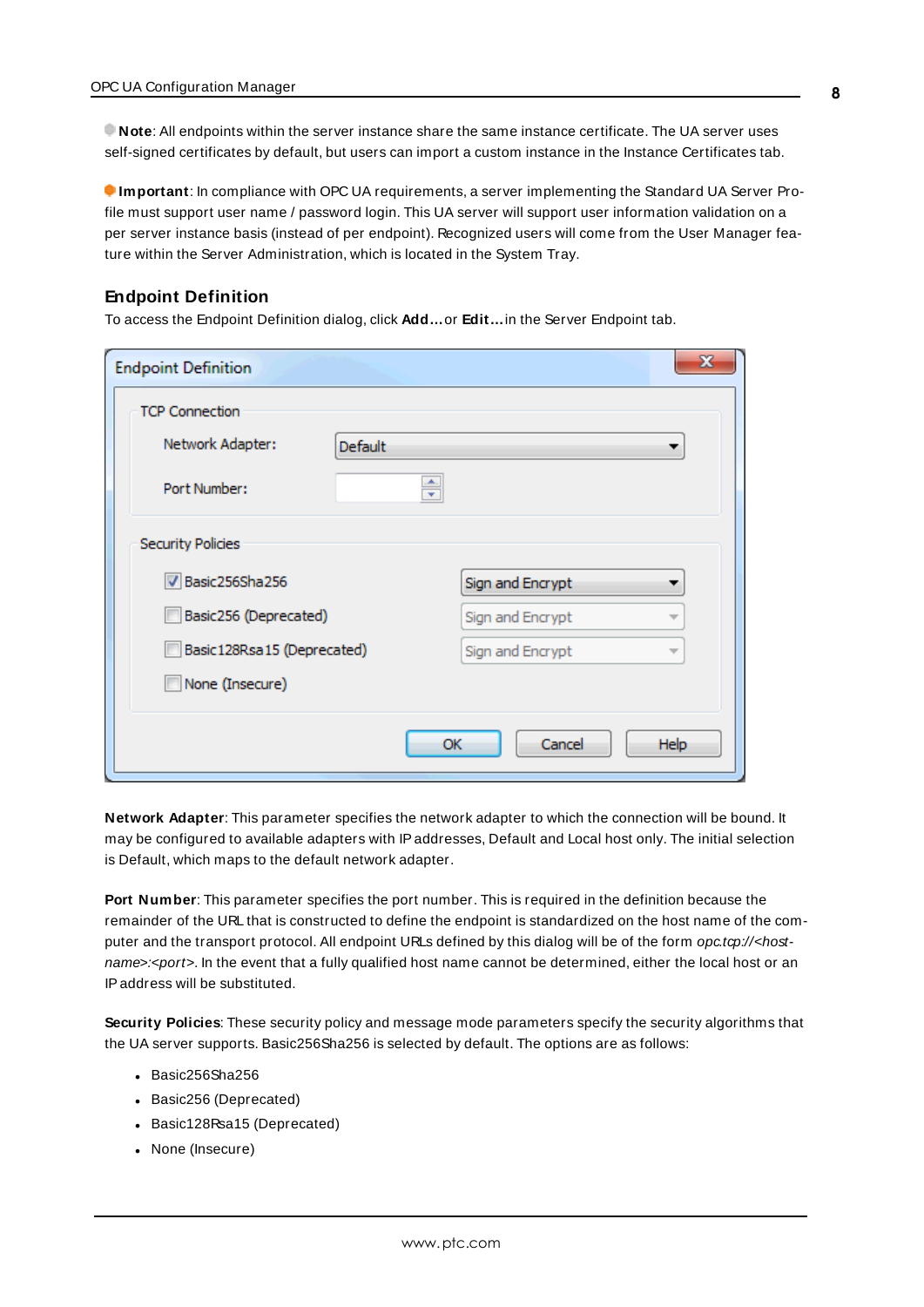**Note**: All endpoints within the server instance share the same instance certificate. The UA server uses self-signed certificates by default, but users can import a custom instance in the Instance Certificates tab.

**Important**: In compliance with OPC UA requirements, a server implementing the Standard UA Server Profile must support user name / password login. This UA server will support user information validation on a per server instance basis (instead of per endpoint). Recognized users will come from the User Manager feature within the Server Administration, which is located in the System Tray.

### <span id="page-7-0"></span>**Endpoint Definition**

To access the Endpoint Definition dialog, click **Add…**or **Edit…**in the Server Endpoint tab.

| <b>Endpoint Definition</b>   |                |                  | X                        |
|------------------------------|----------------|------------------|--------------------------|
| <b>TCP Connection</b>        |                |                  |                          |
| Network Adapter:             | <b>Default</b> |                  |                          |
| Port Number:                 | ÷              |                  |                          |
| <b>Security Policies</b>     |                |                  |                          |
| Basic256Sha256               |                | Sign and Encrypt |                          |
| Basic256 (Deprecated)        |                | Sign and Encrypt |                          |
| Basic 128Rsa 15 (Deprecated) |                | Sign and Encrypt | $\overline{\phantom{a}}$ |
| None (Insecure)              |                |                  |                          |
|                              | ОК             | Cancel           | <b>Help</b>              |

<span id="page-7-1"></span>**Network Adapter**: This parameter specifies the network adapter to which the connection will be bound. It may be configured to available adapters with IPaddresses, Default and Local host only. The initial selection is Default, which maps to the default network adapter.

<span id="page-7-2"></span>**Port Number**: This parameter specifies the port number. This is required in the definition because the remainder of the URL that is constructed to define the endpoint is standardized on the host name of the computer and the transport protocol. All endpoint URLs defined by this dialog will be of the form opc.tcp://<hostname>:<port>. In the event that a fully qualified host name cannot be determined, either the local host or an IPaddress will be substituted.

<span id="page-7-3"></span>**Security Policies**: These security policy and message mode parameters specify the security algorithms that the UA server supports. Basic256Sha256 is selected by default. The options are as follows:

- $-Basic256$ Sha256
- Basic256 (Deprecated)
- Basic128Rsa15 (Deprecated)
- None (Insecure)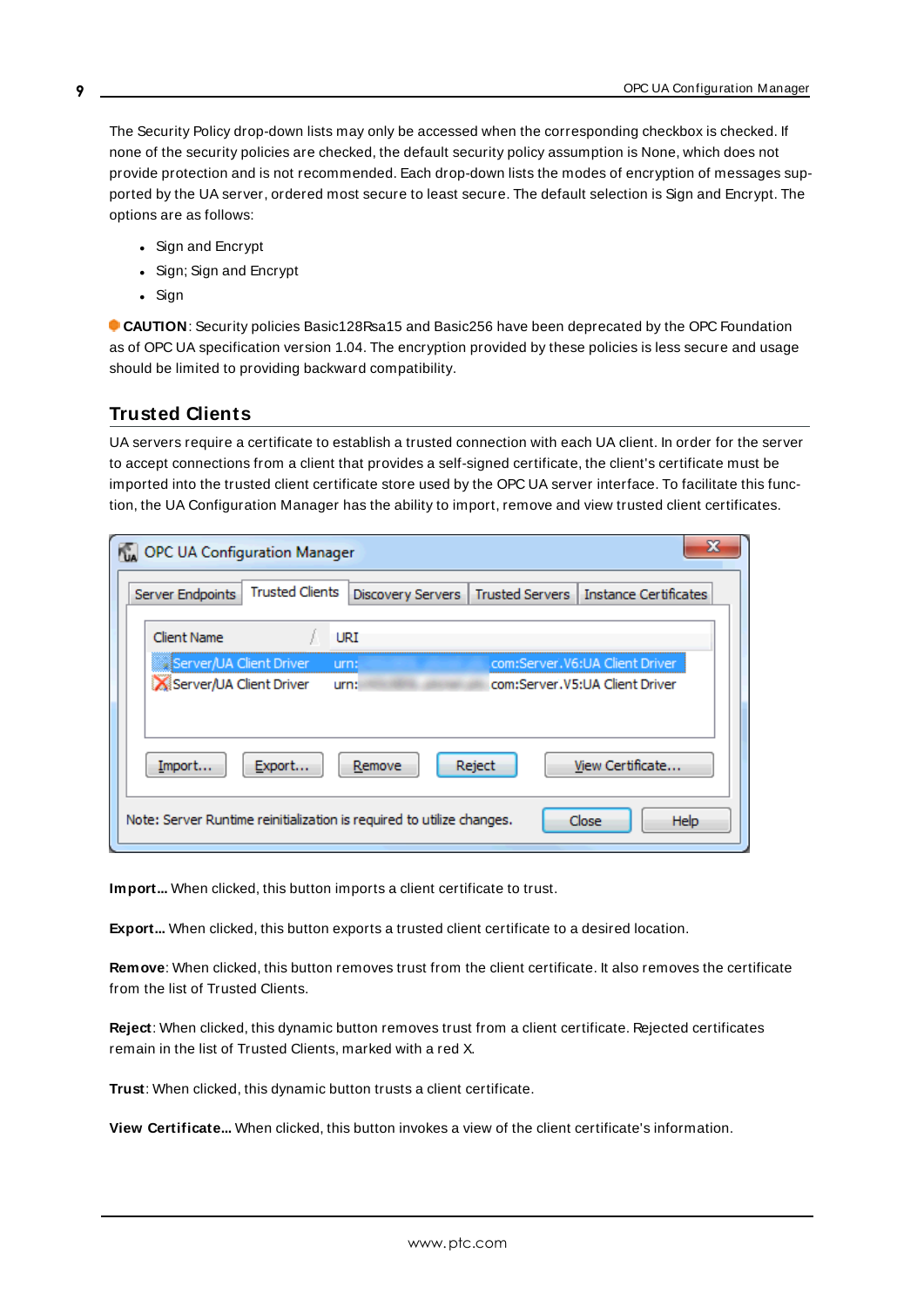The Security Policy drop-down lists may only be accessed when the corresponding checkbox is checked. If none of the security policies are checked, the default security policy assumption is None, which does not provide protection and is not recommended. Each drop-down lists the modes of encryption of messages supported by the UA server, ordered most secure to least secure. The default selection is Sign and Encrypt. The options are as follows:

- Sign and Encrypt
- Sign; Sign and Encrypt
- Sign

 **CAUTION**: Security policies Basic128Rsa15 and Basic256 have been deprecated by the OPC Foundation as of OPC UA specification version 1.04. The encryption provided by these policies is less secure and usage should be limited to providing backward compatibility.

# <span id="page-8-0"></span>**Trusted Clients**

UA servers require a certificate to establish a trusted connection with each UA client. In order for the server to accept connections from a client that provides a self-signed certificate, the client's certificate must be imported into the trusted client certificate store used by the OPC UA server interface. To facilitate this function, the UA Configuration Manager has the ability to import, remove and view trusted client certificates.

| OPC UA Configuration Manager |                                                                       |                                             | 23                             |
|------------------------------|-----------------------------------------------------------------------|---------------------------------------------|--------------------------------|
| Server Endpoints             | <b>Trusted Clients</b>                                                | <b>Trusted Servers</b><br>Discovery Servers | <b>Instance Certificates</b>   |
| <b>Client Name</b>           | URI                                                                   |                                             |                                |
| §Server/UA Client Driver     | urn:                                                                  |                                             | com:Server.V6:UA Client Driver |
| Server/UA Client Driver      | urn:                                                                  |                                             | com:Server.V5:UA Client Driver |
| Import                       | Export<br>Remove                                                      | Reject                                      | View Certificate               |
|                              | Note: Server Runtime reinitialization is required to utilize changes. |                                             | Close<br><b>Help</b>           |

<span id="page-8-2"></span><span id="page-8-1"></span>Import... When clicked, this button imports a client certificate to trust.

**Export...** When clicked, this button exports a trusted client certificate to a desired location.

**Remove**: When clicked, this button removes trust from the client certificate. It also removes the certificate from the list of Trusted Clients.

**Reject**: When clicked, this dynamic button removes trust from a client certificate. Rejected certificates remain in the list of Trusted Clients, marked with a red X.

<span id="page-8-4"></span><span id="page-8-3"></span>**Trust**: When clicked, this dynamic button trusts a client certificate.

**View Certificate...** When clicked, this button invokes a view of the client certificate's information.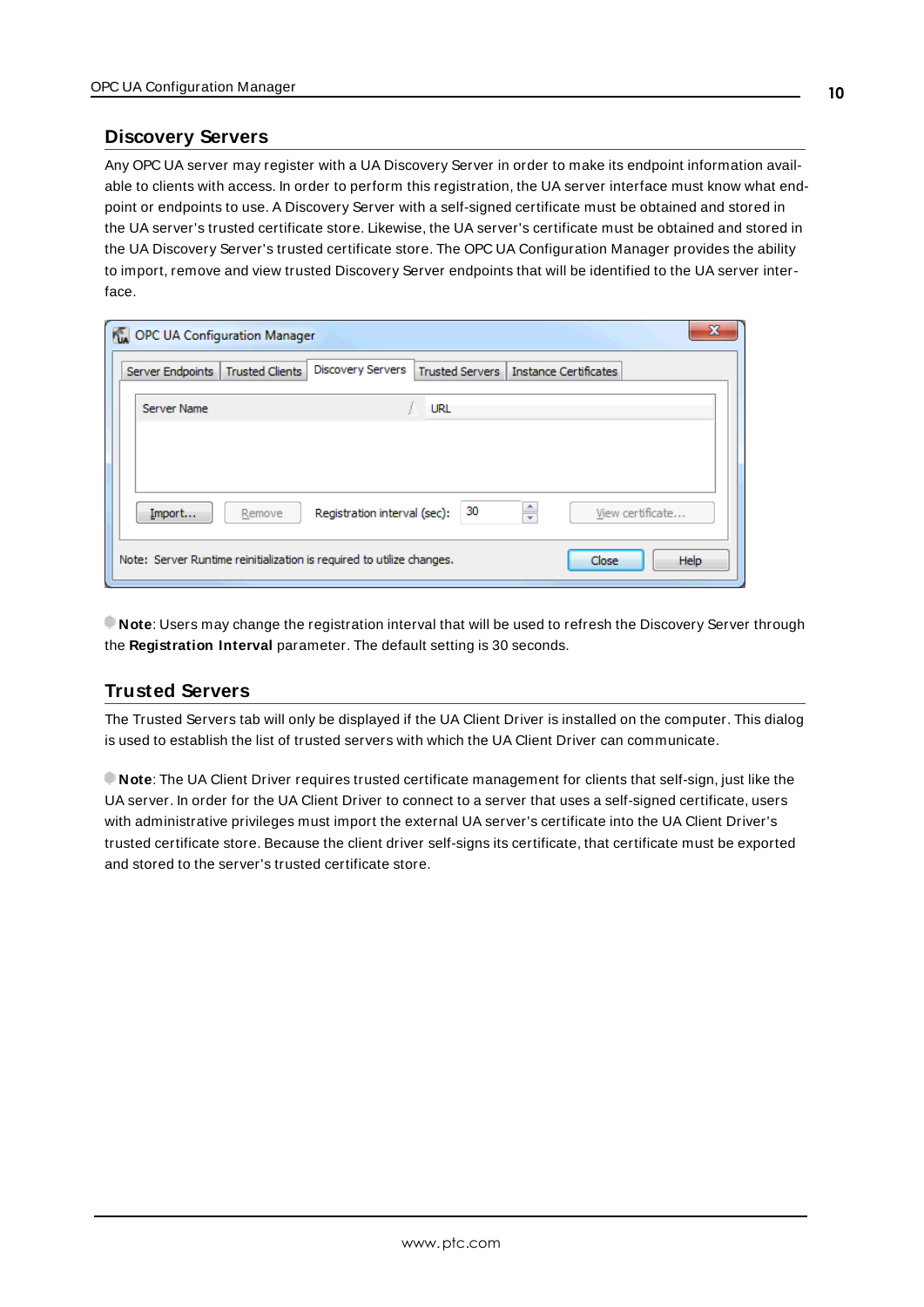### <span id="page-9-0"></span>**Discovery Servers**

Any OPC UA server may register with a UA Discovery Server in order to make its endpoint information available to clients with access. In order to perform this registration, the UA server interface must know what endpoint or endpoints to use. A Discovery Server with a self-signed certificate must be obtained and stored in the UA server's trusted certificate store. Likewise, the UA server's certificate must be obtained and stored in the UA Discovery Server's trusted certificate store. The OPC UA Configuration Manager provides the ability to import, remove and view trusted Discovery Server endpoints that will be identified to the UA server interface.

| OPC UA Configuration Manager |                        |                                                                       |                        |                              |                  | x    |
|------------------------------|------------------------|-----------------------------------------------------------------------|------------------------|------------------------------|------------------|------|
| Server Endpoints             | <b>Trusted Clients</b> | Discovery Servers                                                     | <b>Trusted Servers</b> | <b>Instance Certificates</b> |                  |      |
| Server Name                  |                        |                                                                       | <b>URL</b>             |                              |                  |      |
|                              |                        |                                                                       |                        |                              |                  |      |
|                              |                        |                                                                       |                        |                              |                  |      |
| Import                       | Remove                 | Registration interval (sec):                                          | 30                     | ÷                            | View certificate |      |
|                              |                        | Note: Server Runtime reinitialization is required to utilize changes. |                        |                              | Close            | Help |

<span id="page-9-2"></span>**Note**: Users may change the registration interval that will be used to refresh the Discovery Server through the **Registration Interval** parameter. The default setting is 30 seconds.

## <span id="page-9-1"></span>**Trusted Servers**

The Trusted Servers tab will only be displayed if the UA Client Driver is installed on the computer. This dialog is used to establish the list of trusted servers with which the UA Client Driver can communicate.

**Note**: The UA Client Driver requires trusted certificate management for clients that self-sign, just like the UA server. In order for the UA Client Driver to connect to a server that uses a self-signed certificate, users with administrative privileges must import the external UA server's certificate into the UA Client Driver's trusted certificate store. Because the client driver self-signs its certificate, that certificate must be exported and stored to the server's trusted certificate store.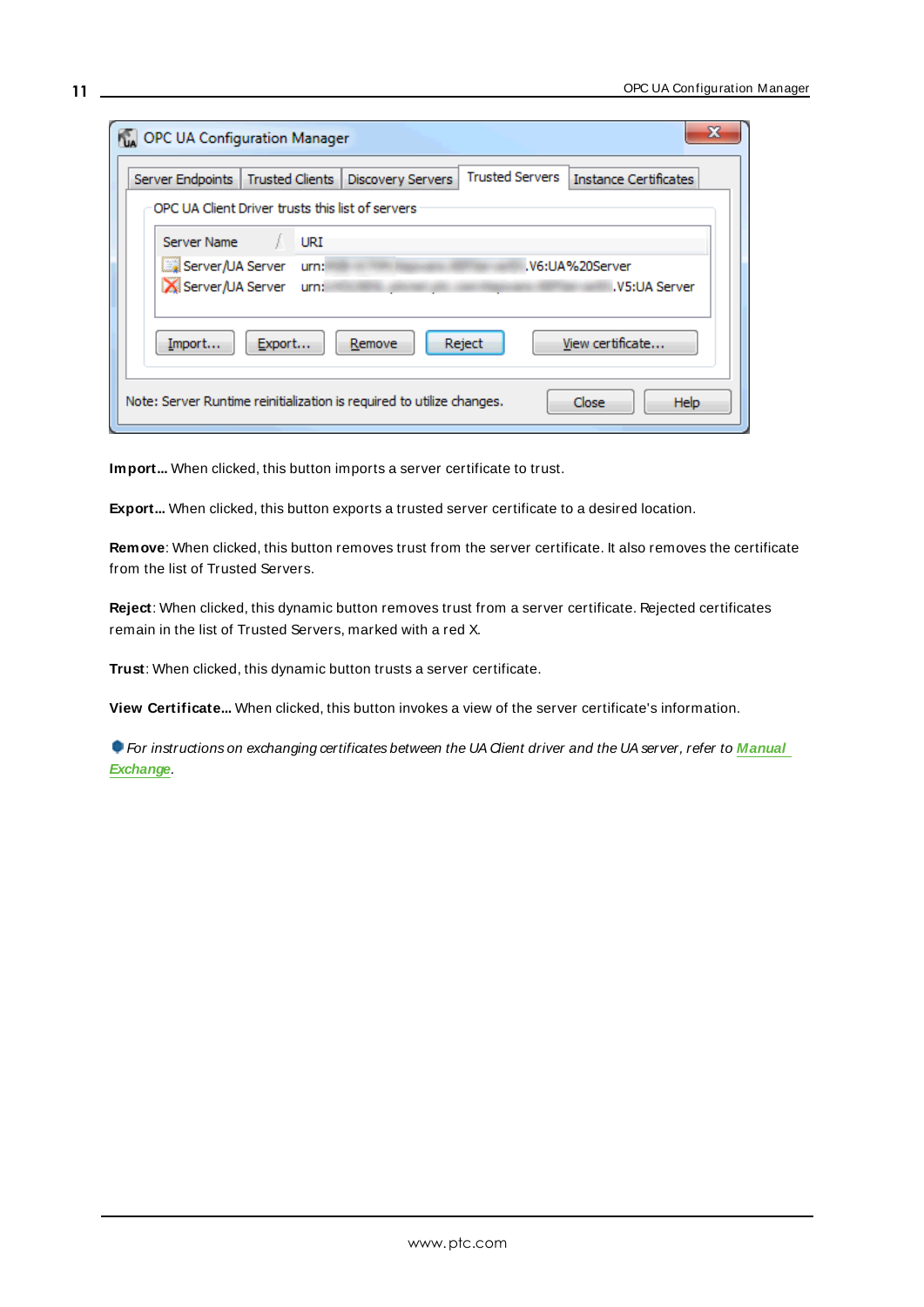| OPC UA Configuration Manager                                                                                               |  |  |  |  |  |
|----------------------------------------------------------------------------------------------------------------------------|--|--|--|--|--|
| <b>Trusted Servers</b><br>Server Endpoints   Trusted Clients  <br><b>Instance Certificates</b><br><b>Discovery Servers</b> |  |  |  |  |  |
| OPC UA Client Driver trusts this list of servers                                                                           |  |  |  |  |  |
| Server Name<br>URI                                                                                                         |  |  |  |  |  |
| Server/UA Server<br>.V6:UA%20Server<br>urn:                                                                                |  |  |  |  |  |
| Server/UA Server<br>.V5:UA Server<br>urn:                                                                                  |  |  |  |  |  |
| View certificate<br>Import<br>Export<br>Remove<br>Reject                                                                   |  |  |  |  |  |
| Note: Server Runtime reinitialization is required to utilize changes.<br>Close<br><b>Help</b>                              |  |  |  |  |  |

<span id="page-10-2"></span><span id="page-10-1"></span>**Import...** When clicked, this button imports a server certificate to trust.

**Export...** When clicked, this button exports a trusted server certificate to a desired location.

**Remove**: When clicked, this button removes trust from the server certificate. It also removes the certificate from the list of Trusted Servers.

**Reject**: When clicked, this dynamic button removes trust from a server certificate. Rejected certificates remain in the list of Trusted Servers, marked with a red X.

<span id="page-10-0"></span>**Trust**: When clicked, this dynamic button trusts a server certificate.

**View Certificate...** When clicked, this button invokes a view of the server certificate's information.

**For instructions on exchanging certificates between the UA Client driver and the UA server, refer to [Manual](#page-14-1) [Exchange](#page-14-1)**.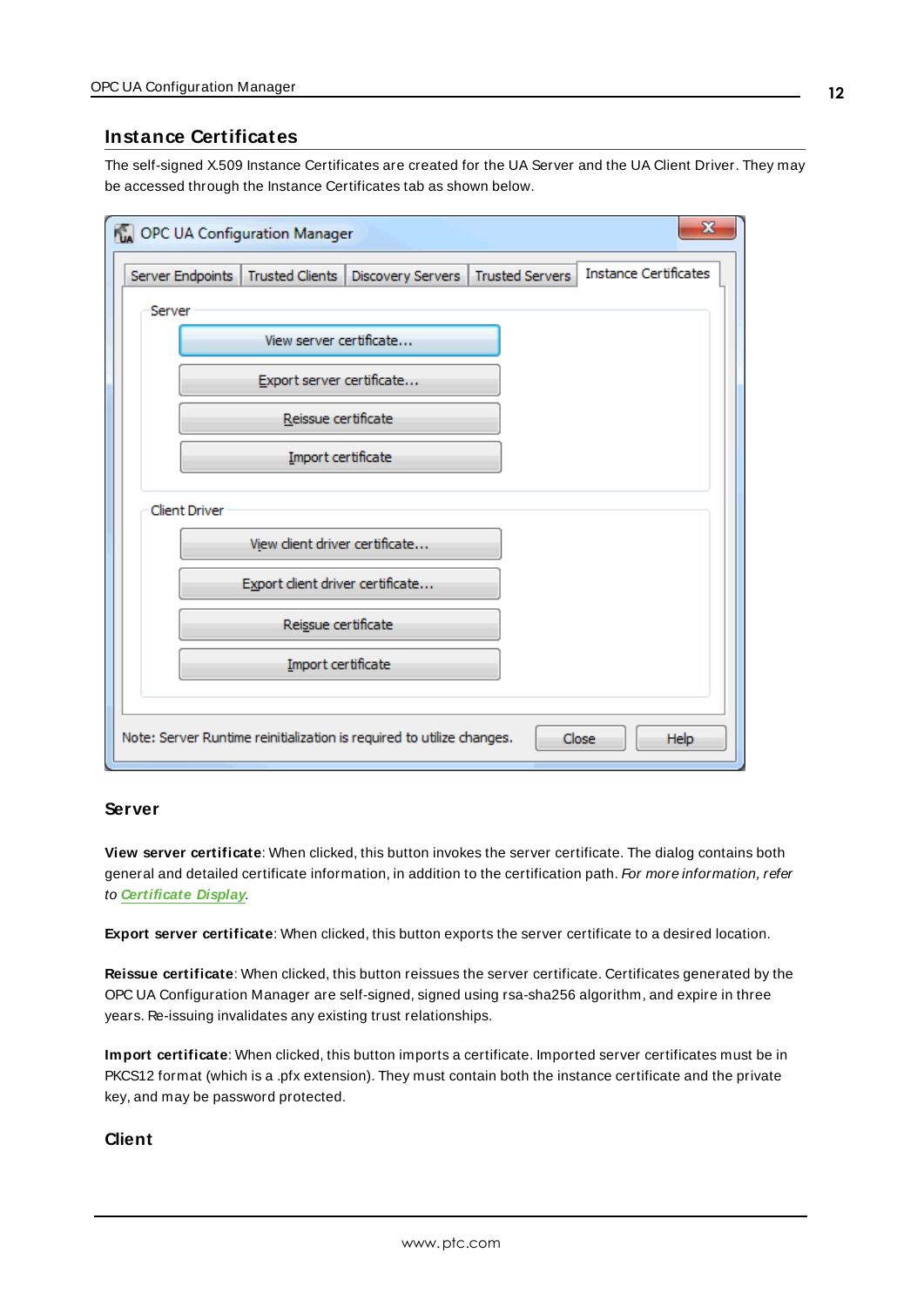## <span id="page-11-0"></span>**Instance Certificates**

The self-signed X.509 Instance Certificates are created for the UA Server and the UA Client Driver. They may be accessed through the Instance Certificates tab as shown below.

| OPC UA Configuration Manager                           |                                 |                                                                       |                        |                              | x |
|--------------------------------------------------------|---------------------------------|-----------------------------------------------------------------------|------------------------|------------------------------|---|
| Server Endpoints   Trusted Clients                     |                                 | Discovery Servers                                                     | <b>Trusted Servers</b> | <b>Instance Certificates</b> |   |
| Server                                                 |                                 |                                                                       |                        |                              |   |
|                                                        | View server certificate         |                                                                       |                        |                              |   |
|                                                        | Export server certificate       |                                                                       |                        |                              |   |
|                                                        | Reissue certificate             |                                                                       |                        |                              |   |
|                                                        | Import certificate              |                                                                       |                        |                              |   |
| <b>Client Driver</b><br>View client driver certificate |                                 |                                                                       |                        |                              |   |
|                                                        | Export dient driver certificate |                                                                       |                        |                              |   |
|                                                        | Reissue certificate             |                                                                       |                        |                              |   |
|                                                        | Import certificate              |                                                                       |                        |                              |   |
|                                                        |                                 | Note: Server Runtime reinitialization is required to utilize changes. |                        | Close<br>Help                |   |

### **Server**

**View server certificate**: When clicked, this button invokes the server certificate. The dialog contains both general and detailed certificate information, in addition to the certification path. For more information, refer to **[Certificate](#page-12-0) Display**.

<span id="page-11-2"></span>**Export server certificate**: When clicked, this button exports the server certificate to a desired location.

**Reissue certificate**: When clicked, this button reissues the server certificate. Certificates generated by the OPC UA Configuration Manager are self-signed, signed using rsa-sha256 algorithm, and expire in three years. Re-issuing invalidates any existing trust relationships.

<span id="page-11-1"></span>**Import certificate**: When clicked, this button imports a certificate. Imported server certificates must be in PKCS12 format (which is a .pfx extension). They must contain both the instance certificate and the private key, and may be password protected.

## **Client**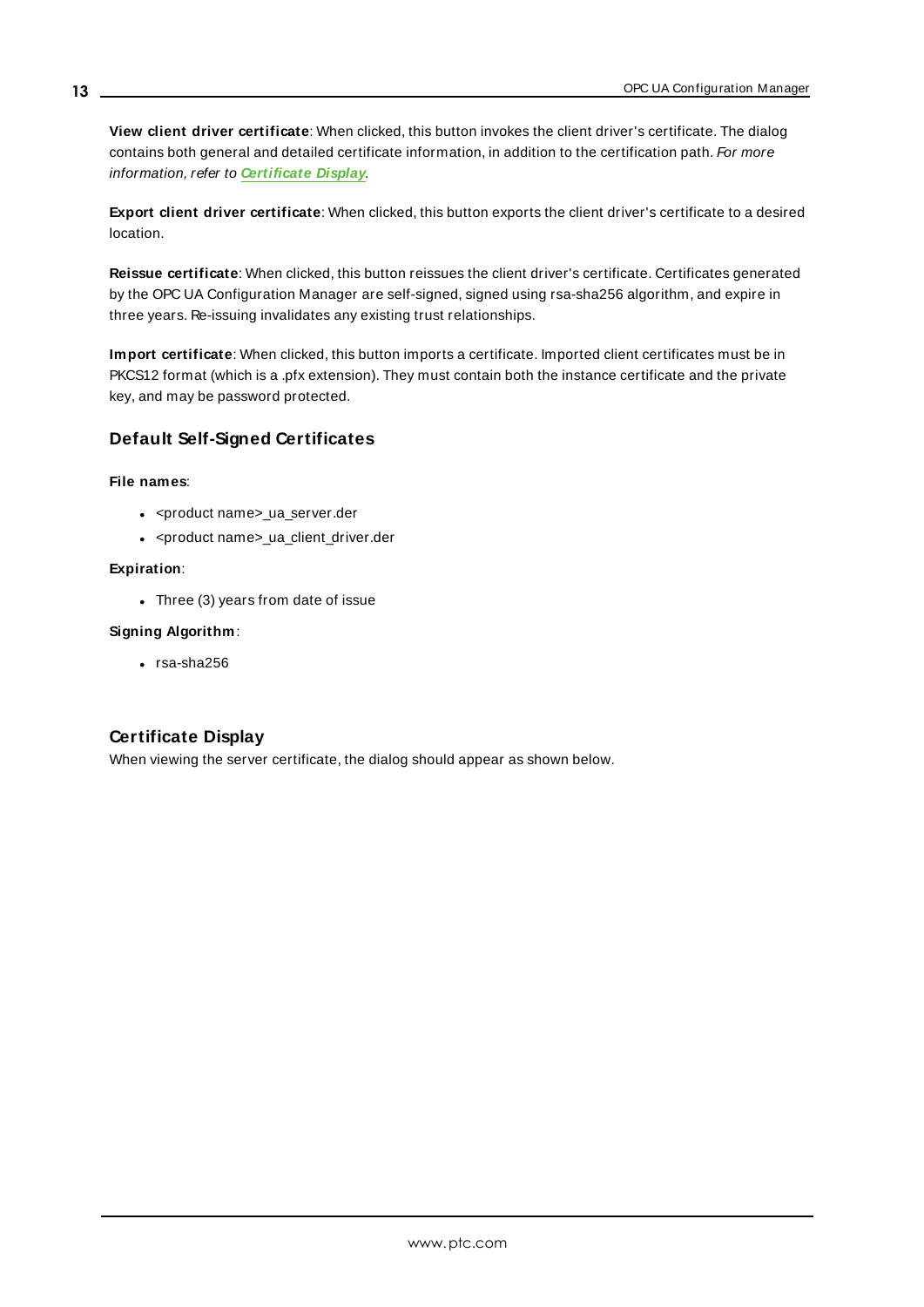**View client driver certificate**: When clicked, this button invokes the client driver's certificate. The dialog contains both general and detailed certificate information, in addition to the certification path. For more information, refer to **[Certificate](#page-12-0) Display**.

**Export client driver certificate**: When clicked, this button exports the client driver's certificate to a desired location.

**Reissue certificate**: When clicked, this button reissues the client driver's certificate. Certificates generated by the OPC UA Configuration Manager are self-signed, signed using rsa-sha256 algorithm, and expire in three years. Re-issuing invalidates any existing trust relationships.

**Import certificate**: When clicked, this button imports a certificate. Imported client certificates must be in PKCS12 format (which is a .pfx extension). They must contain both the instance certificate and the private key, and may be password protected.

### <span id="page-12-2"></span>**Default Self-Signed Certificates**

#### **File names**:

- <product name>\_ua\_server.der
- <product name>\_ua\_client\_driver.der

#### **Expiration**:

- Three  $(3)$  years from date of issue

#### **Signing Algorithm**:

<span id="page-12-0"></span> $\cdot$  rsa-sha256

## <span id="page-12-1"></span>**Certificate Display**

When viewing the server certificate, the dialog should appear as shown below.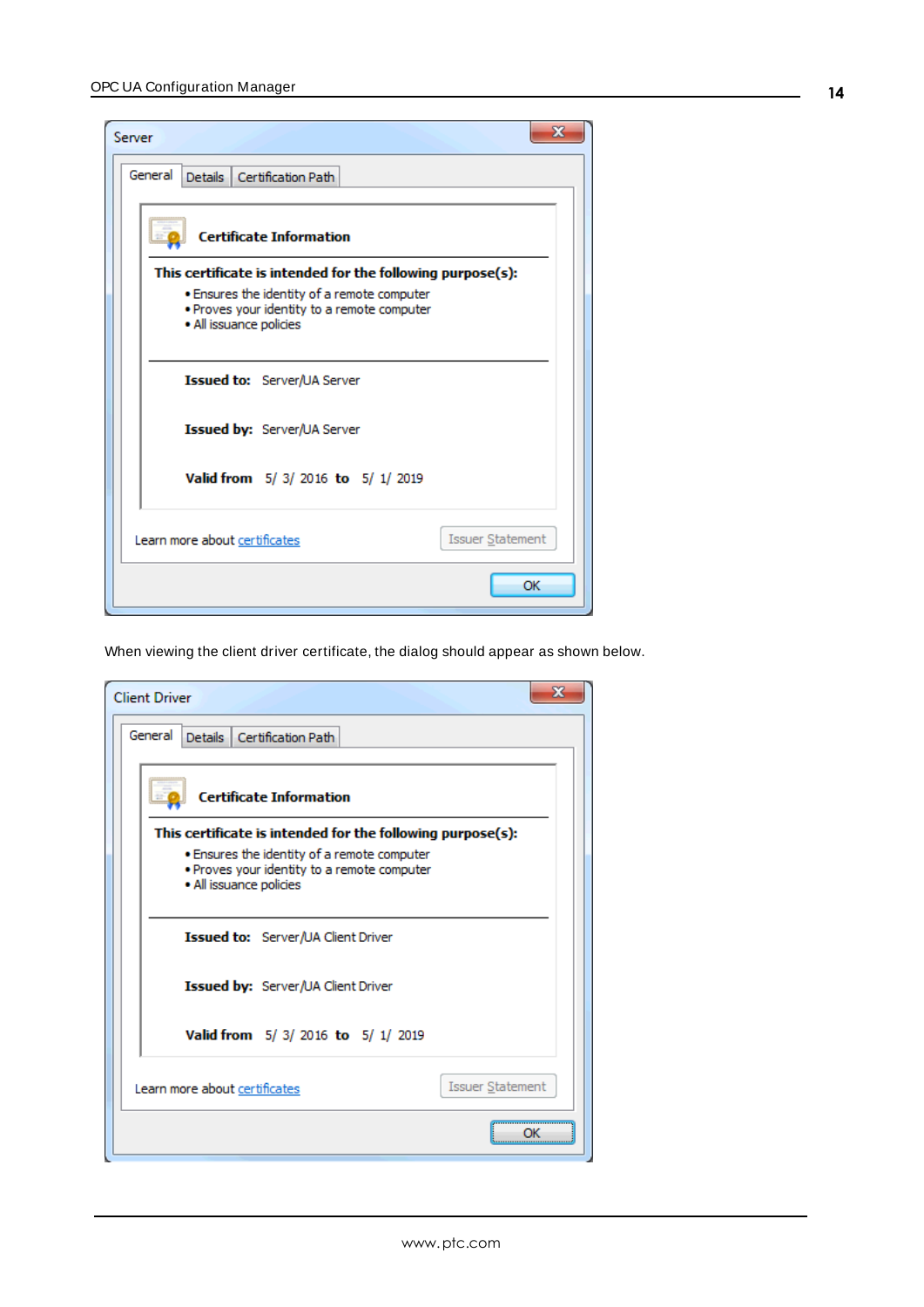| ж<br>Server                                                                                                           |  |
|-----------------------------------------------------------------------------------------------------------------------|--|
| General<br>Details Certification Path                                                                                 |  |
| <b>Certificate Information</b>                                                                                        |  |
| This certificate is intended for the following purpose(s):                                                            |  |
| . Ensures the identity of a remote computer<br>. Proves your identity to a remote computer<br>· All issuance policies |  |
| Issued to: Server/UA Server                                                                                           |  |
| <b>Issued by:</b> Server/UA Server                                                                                    |  |
| Valid from 5/3/2016 to 5/1/2019                                                                                       |  |
| <b>Issuer Statement</b><br>Learn more about certificates                                                              |  |
| OK                                                                                                                    |  |

When viewing the client driver certificate, the dialog should appear as shown below.

| <b>Client Driver</b>                                                                                                  | х |
|-----------------------------------------------------------------------------------------------------------------------|---|
| General<br>Details Certification Path                                                                                 |   |
| <b>Certificate Information</b>                                                                                        |   |
| This certificate is intended for the following purpose(s):                                                            |   |
| . Ensures the identity of a remote computer<br>. Proves your identity to a remote computer<br>· All issuance policies |   |
| <b>Issued to:</b> Server/UA Client Driver                                                                             |   |
| <b>Issued by:</b> Server/UA Client Driver                                                                             |   |
| Valid from 5/3/2016 to 5/1/2019                                                                                       |   |
| <b>Issuer Statement</b><br>Learn more about certificates                                                              |   |
|                                                                                                                       |   |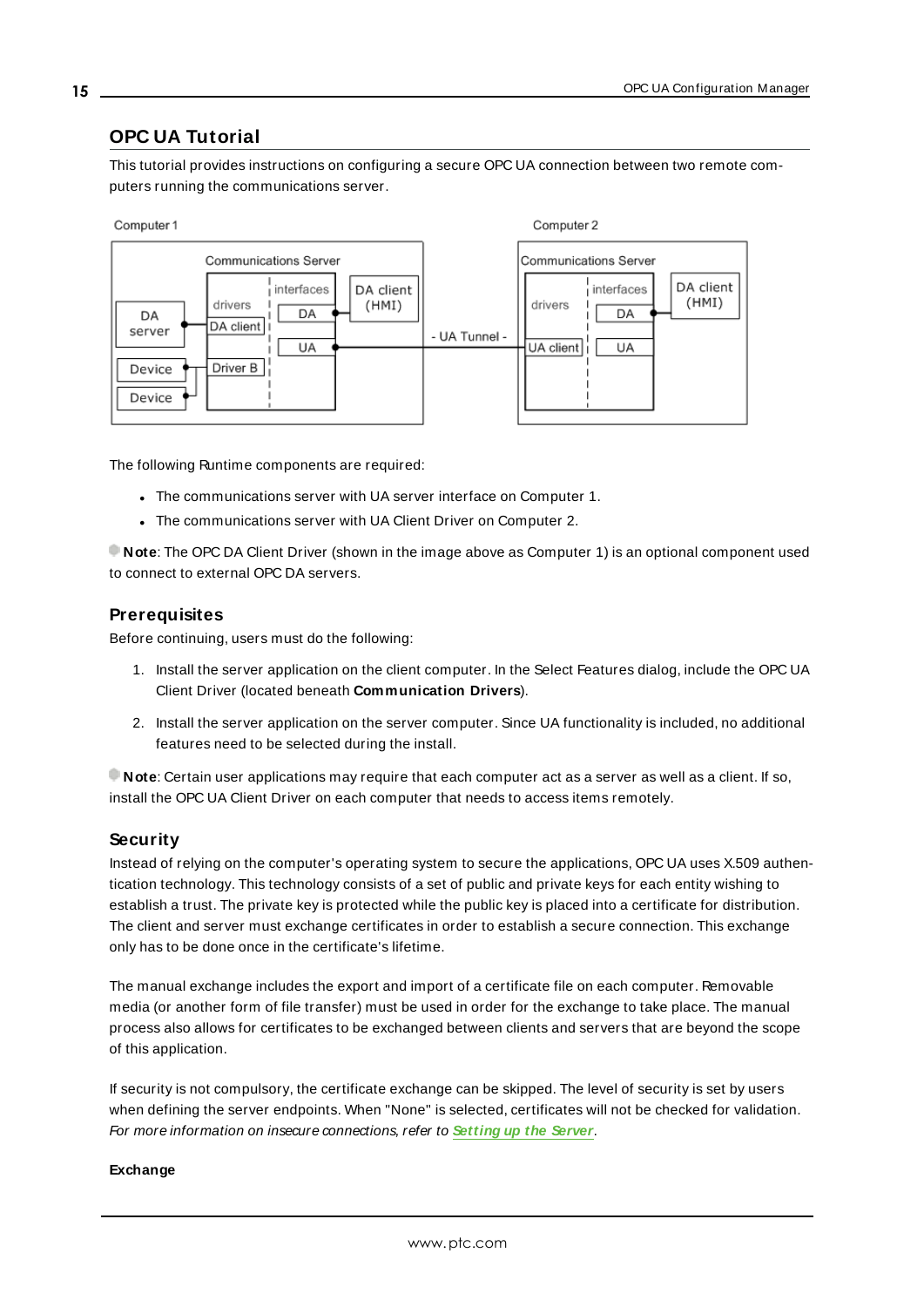# <span id="page-14-0"></span>**OPC UA Tutorial**

This tutorial provides instructions on configuring a secure OPC UA connection between two remote computers running the communications server.



The following Runtime components are required:

- The communications server with UA server interface on Computer 1.
- The communications server with UA Client Driver on Computer 2.

**Note**: The OPC DA Client Driver (shown in the image above as Computer 1) is an optional component used to connect to external OPC DA servers.

### <span id="page-14-2"></span>**Prerequisites**

Before continuing, users must do the following:

- 1. Install the server application on the client computer. In the Select Features dialog, include the OPC UA Client Driver (located beneath **Communication Drivers**).
- 2. Install the server application on the server computer. Since UA functionality is included, no additional features need to be selected during the install.

**Note**: Certain user applications may require that each computer act as a server as well as a client. If so, install the OPC UA Client Driver on each computer that needs to access items remotely.

### <span id="page-14-3"></span>**Security**

Instead of relying on the computer's operating system to secure the applications, OPC UA uses X.509 authentication technology. This technology consists of a set of public and private keys for each entity wishing to establish a trust. The private key is protected while the public key is placed into a certificate for distribution. The client and server must exchange certificates in order to establish a secure connection. This exchange only has to be done once in the certificate's lifetime.

The manual exchange includes the export and import of a certificate file on each computer. Removable media (or another form of file transfer) must be used in order for the exchange to take place. The manual process also allows for certificates to be exchanged between clients and servers that are beyond the scope of this application.

If security is not compulsory, the certificate exchange can be skipped. The level of security is set by users when defining the server endpoints. When "None" is selected, certificates will not be checked for validation. For more information on insecure connections, refer to **[Setting](#page-15-0) up the Server**.

#### <span id="page-14-1"></span>**Exchange**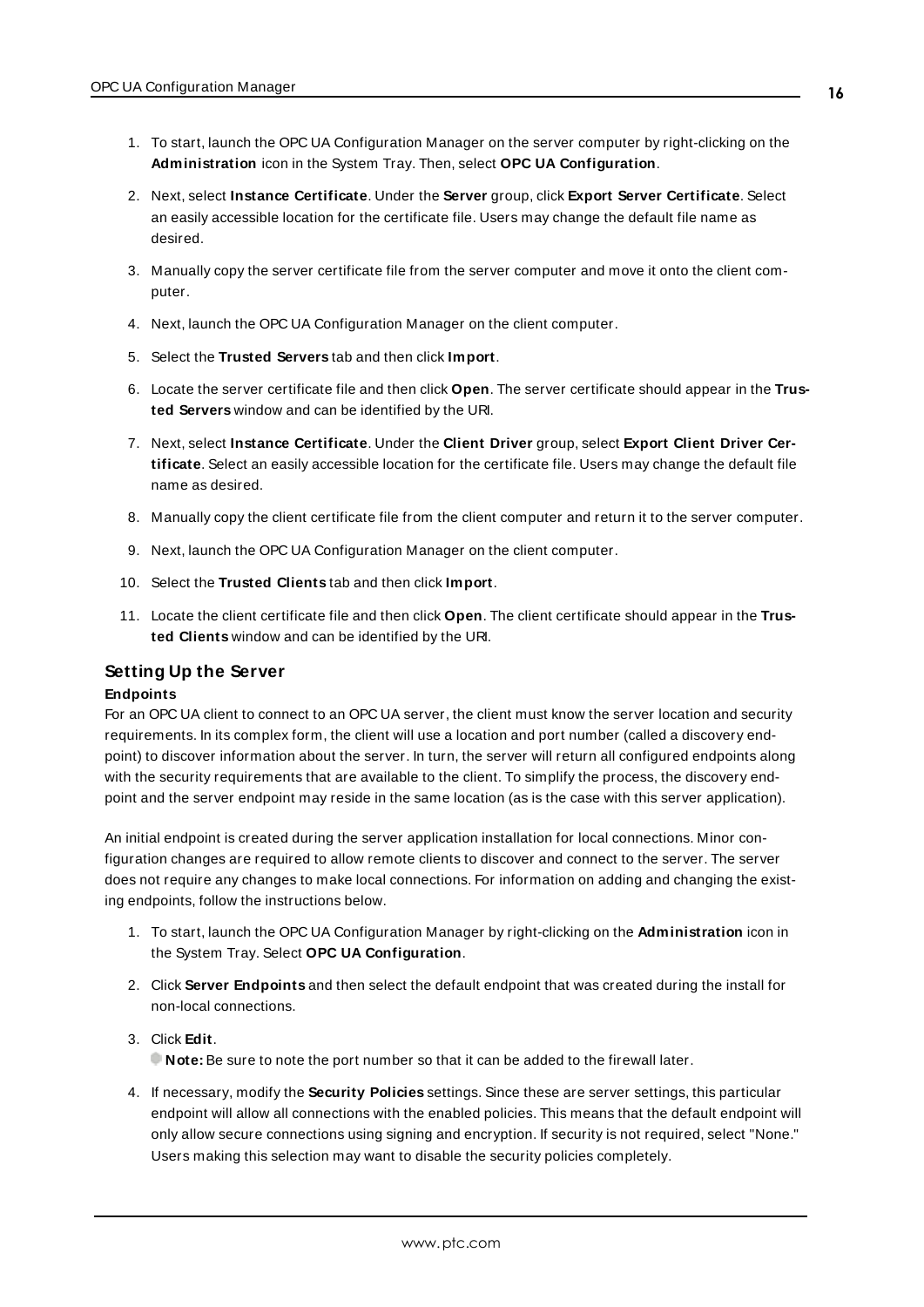- 1. To start, launch the OPC UA Configuration Manager on the server computer by right-clicking on the **Administration** icon in the System Tray. Then, select **OPC UA Configuration**.
- 2. Next, select **Instance Certificate**. Under the **Server** group, click **Export Server Certificate**. Select an easily accessible location for the certificate file. Users may change the default file name as desired.
- 3. Manually copy the server certificate file from the server computer and move it onto the client computer.
- 4. Next, launch the OPC UA Configuration Manager on the client computer.
- 5. Select the **Trusted Servers** tab and then click **Import**.
- 6. Locate the server certificate file and then click **Open**. The server certificate should appear in the **Trusted Servers** window and can be identified by the URI.
- 7. Next, select **Instance Certificate**. Under the **Client Driver** group, select **Export Client Driver Certificate**. Select an easily accessible location for the certificate file. Users may change the default file name as desired.
- 8. Manually copy the client certificate file from the client computer and return it to the server computer.
- 9. Next, launch the OPC UA Configuration Manager on the client computer.
- <span id="page-15-0"></span>10. Select the **Trusted Clients** tab and then click **Import**.
- 11. Locate the client certificate file and then click **Open**. The client certificate should appear in the **Trusted Clients** window and can be identified by the URI.

#### **Setting Up the Server**

#### **Endpoints**

For an OPC UA client to connect to an OPC UA server, the client must know the server location and security requirements. In its complex form, the client will use a location and port number (called a discovery endpoint) to discover information about the server. In turn, the server will return all configured endpoints along with the security requirements that are available to the client. To simplify the process, the discovery endpoint and the server endpoint may reside in the same location (as is the case with this server application).

An initial endpoint is created during the server application installation for local connections. Minor configuration changes are required to allow remote clients to discover and connect to the server. The server does not require any changes to make local connections. For information on adding and changing the existing endpoints, follow the instructions below.

- 1. To start, launch the OPC UA Configuration Manager by right-clicking on the **Administration** icon in the System Tray. Select **OPC UA Configuration**.
- 2. Click **Server Endpoints** and then select the default endpoint that was created during the install for non-local connections.
- 3. Click **Edit**.
	- **Note:** Be sure to note the port number so that it can be added to the firewall later.
- 4. If necessary, modify the **Security Policies** settings. Since these are server settings, this particular endpoint will allow all connections with the enabled policies. This means that the default endpoint will only allow secure connections using signing and encryption. If security is not required, select "None." Users making this selection may want to disable the security policies completely.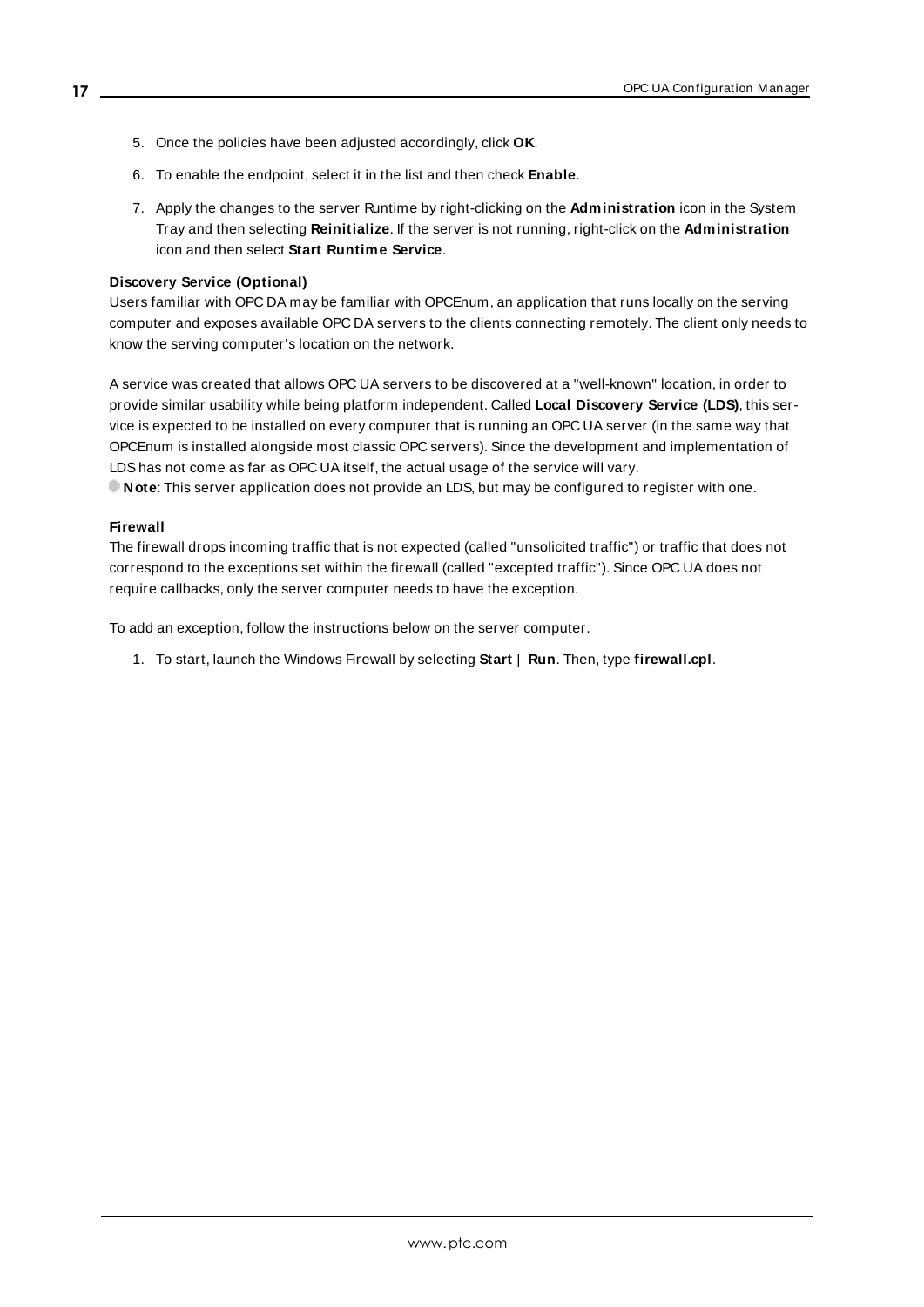- 5. Once the policies have been adjusted accordingly, click **OK**.
- 6. To enable the endpoint, select it in the list and then check **Enable**.
- 7. Apply the changes to the server Runtime by right-clicking on the **Administration** icon in the System Tray and then selecting **Reinitialize**. If the server is not running, right-click on the **Administration** icon and then select **Start Runtime Service**.

#### <span id="page-16-0"></span>**Discovery Service (Optional)**

Users familiar with OPC DA may be familiar with OPCEnum, an application that runs locally on the serving computer and exposes available OPC DA servers to the clients connecting remotely. The client only needs to know the serving computer's location on the network.

<span id="page-16-2"></span>A service was created that allows OPC UA servers to be discovered at a "well-known" location, in order to provide similar usability while being platform independent. Called **Local Discovery Service (LDS)**, this service is expected to be installed on every computer that is running an OPC UA server (in the same way that OPCEnum is installed alongside most classic OPC servers). Since the development and implementation of LDShas not come as far as OPC UA itself, the actual usage of the service will vary.

<span id="page-16-1"></span>**Note**: This server application does not provide an LDS, but may be configured to register with one.

#### **Firewall**

The firewall drops incoming traffic that is not expected (called "unsolicited traffic") or traffic that does not correspond to the exceptions set within the firewall (called "excepted traffic"). Since OPC UA does not require callbacks, only the server computer needs to have the exception.

To add an exception, follow the instructions below on the server computer.

1. To start, launch the Windows Firewall by selecting **Start** | **Run**. Then, type **firewall.cpl**.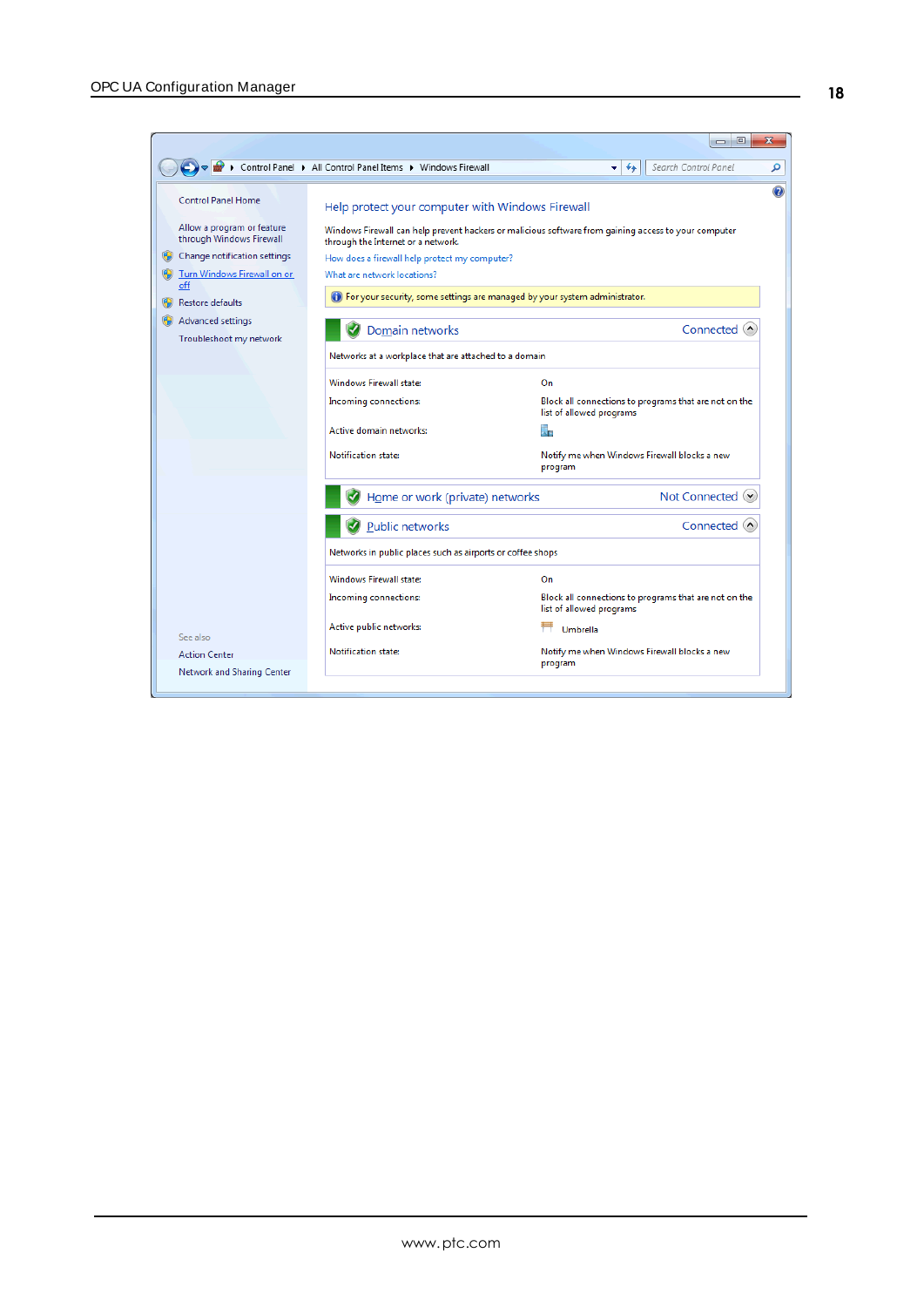|                                                                                                                                                           |                                                                                                                                                                        | $\mathbf{x}$<br>$\Box$                                                                               |
|-----------------------------------------------------------------------------------------------------------------------------------------------------------|------------------------------------------------------------------------------------------------------------------------------------------------------------------------|------------------------------------------------------------------------------------------------------|
|                                                                                                                                                           | ▶ Control Panel ▶ All Control Panel Items ▶ Windows Firewall                                                                                                           | Search Control Panel<br>$\ddotmark$<br>÷.                                                            |
| <b>Control Panel Home</b><br>Allow a program or feature<br>through Windows Firewall<br>Change notification settings<br>Turn Windows Firewall on or<br>off | Help protect your computer with Windows Firewall<br>through the Internet or a network.<br>How does a firewall help protect my computer?<br>What are network locations? | Windows Firewall can help prevent hackers or malicious software from gaining access to your computer |
| <b>Restore defaults</b>                                                                                                                                   | (b) For your security, some settings are managed by your system administrator.                                                                                         |                                                                                                      |
| Advanced settings<br>Troubleshoot my network                                                                                                              | Domain networks                                                                                                                                                        | Connected $\left($                                                                                   |
|                                                                                                                                                           | Networks at a workplace that are attached to a domain                                                                                                                  |                                                                                                      |
|                                                                                                                                                           | <b>Windows Firewall state:</b>                                                                                                                                         | On                                                                                                   |
|                                                                                                                                                           | Incoming connections:                                                                                                                                                  | Block all connections to programs that are not on the<br>list of allowed programs                    |
|                                                                                                                                                           | Active domain networks:                                                                                                                                                | Na                                                                                                   |
|                                                                                                                                                           | Notification state:                                                                                                                                                    | Notify me when Windows Firewall blocks a new<br>program                                              |
|                                                                                                                                                           | Home or work (private) networks                                                                                                                                        | Not Connected <sup>(v</sup>                                                                          |
|                                                                                                                                                           | Public networks                                                                                                                                                        | Connected $\wedge$                                                                                   |
|                                                                                                                                                           | Networks in public places such as airports or coffee shops                                                                                                             |                                                                                                      |
|                                                                                                                                                           | <b>Windows Firewall state:</b>                                                                                                                                         | On                                                                                                   |
|                                                                                                                                                           | Incoming connections:                                                                                                                                                  | Block all connections to programs that are not on the<br>list of allowed programs                    |
| See also                                                                                                                                                  | Active public networks:                                                                                                                                                | Umbrella                                                                                             |
| <b>Action Center</b>                                                                                                                                      | Notification state:                                                                                                                                                    | Notify me when Windows Firewall blocks a new<br>program                                              |
| Network and Sharing Center                                                                                                                                |                                                                                                                                                                        |                                                                                                      |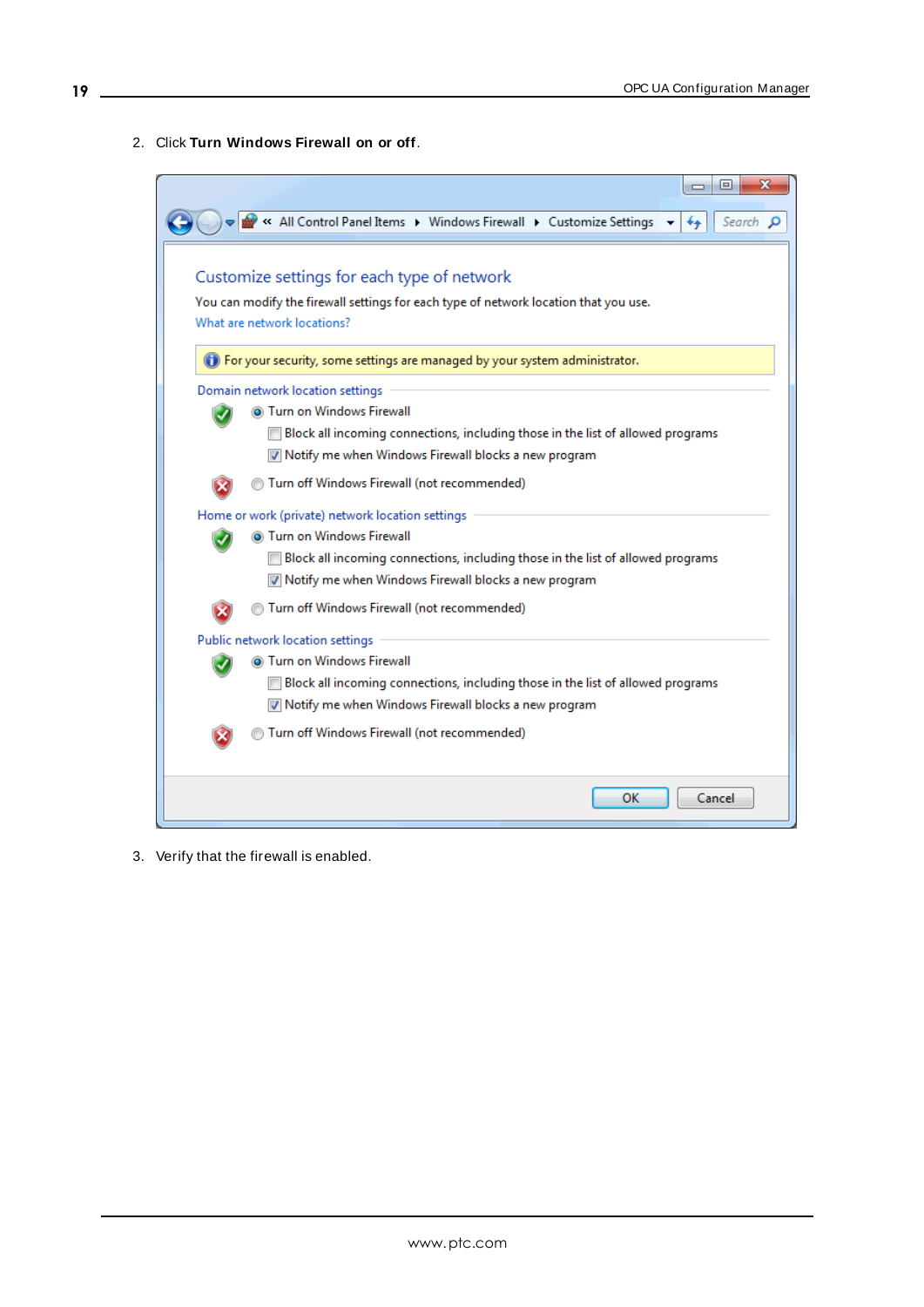2. Click **Turn Windows Firewall on or off**.

| « All Control Panel Items > Windows Firewall > Customize Settings<br>**<br>Customize settings for each type of network<br>You can modify the firewall settings for each type of network location that you use.<br>What are network locations?<br>(b) For your security, some settings are managed by your system administrator.<br>Domain network location settings<br>Turn on Windows Firewall<br>Block all incoming connections, including those in the list of allowed programs<br>Motify me when Windows Firewall blocks a new program<br>Turn off Windows Firewall (not recommended)<br>Home or work (private) network location settings<br>Turn on Windows Firewall<br>Block all incoming connections, including those in the list of allowed programs<br>Motify me when Windows Firewall blocks a new program<br>Turn off Windows Firewall (not recommended)<br>Public network location settings<br>Turn on Windows Firewall<br>Block all incoming connections, including those in the list of allowed programs<br>Motify me when Windows Firewall blocks a new program<br>Turn off Windows Firewall (not recommended) |  | х<br>⊫<br>$\Box$ |  |
|-------------------------------------------------------------------------------------------------------------------------------------------------------------------------------------------------------------------------------------------------------------------------------------------------------------------------------------------------------------------------------------------------------------------------------------------------------------------------------------------------------------------------------------------------------------------------------------------------------------------------------------------------------------------------------------------------------------------------------------------------------------------------------------------------------------------------------------------------------------------------------------------------------------------------------------------------------------------------------------------------------------------------------------------------------------------------------------------------------------------------------|--|------------------|--|
|                                                                                                                                                                                                                                                                                                                                                                                                                                                                                                                                                                                                                                                                                                                                                                                                                                                                                                                                                                                                                                                                                                                               |  | Search p         |  |
|                                                                                                                                                                                                                                                                                                                                                                                                                                                                                                                                                                                                                                                                                                                                                                                                                                                                                                                                                                                                                                                                                                                               |  |                  |  |
|                                                                                                                                                                                                                                                                                                                                                                                                                                                                                                                                                                                                                                                                                                                                                                                                                                                                                                                                                                                                                                                                                                                               |  |                  |  |
|                                                                                                                                                                                                                                                                                                                                                                                                                                                                                                                                                                                                                                                                                                                                                                                                                                                                                                                                                                                                                                                                                                                               |  |                  |  |
|                                                                                                                                                                                                                                                                                                                                                                                                                                                                                                                                                                                                                                                                                                                                                                                                                                                                                                                                                                                                                                                                                                                               |  |                  |  |
|                                                                                                                                                                                                                                                                                                                                                                                                                                                                                                                                                                                                                                                                                                                                                                                                                                                                                                                                                                                                                                                                                                                               |  |                  |  |
|                                                                                                                                                                                                                                                                                                                                                                                                                                                                                                                                                                                                                                                                                                                                                                                                                                                                                                                                                                                                                                                                                                                               |  |                  |  |
|                                                                                                                                                                                                                                                                                                                                                                                                                                                                                                                                                                                                                                                                                                                                                                                                                                                                                                                                                                                                                                                                                                                               |  |                  |  |
|                                                                                                                                                                                                                                                                                                                                                                                                                                                                                                                                                                                                                                                                                                                                                                                                                                                                                                                                                                                                                                                                                                                               |  |                  |  |
|                                                                                                                                                                                                                                                                                                                                                                                                                                                                                                                                                                                                                                                                                                                                                                                                                                                                                                                                                                                                                                                                                                                               |  |                  |  |
|                                                                                                                                                                                                                                                                                                                                                                                                                                                                                                                                                                                                                                                                                                                                                                                                                                                                                                                                                                                                                                                                                                                               |  |                  |  |
|                                                                                                                                                                                                                                                                                                                                                                                                                                                                                                                                                                                                                                                                                                                                                                                                                                                                                                                                                                                                                                                                                                                               |  |                  |  |
|                                                                                                                                                                                                                                                                                                                                                                                                                                                                                                                                                                                                                                                                                                                                                                                                                                                                                                                                                                                                                                                                                                                               |  |                  |  |
|                                                                                                                                                                                                                                                                                                                                                                                                                                                                                                                                                                                                                                                                                                                                                                                                                                                                                                                                                                                                                                                                                                                               |  |                  |  |
|                                                                                                                                                                                                                                                                                                                                                                                                                                                                                                                                                                                                                                                                                                                                                                                                                                                                                                                                                                                                                                                                                                                               |  |                  |  |
|                                                                                                                                                                                                                                                                                                                                                                                                                                                                                                                                                                                                                                                                                                                                                                                                                                                                                                                                                                                                                                                                                                                               |  |                  |  |
|                                                                                                                                                                                                                                                                                                                                                                                                                                                                                                                                                                                                                                                                                                                                                                                                                                                                                                                                                                                                                                                                                                                               |  |                  |  |
|                                                                                                                                                                                                                                                                                                                                                                                                                                                                                                                                                                                                                                                                                                                                                                                                                                                                                                                                                                                                                                                                                                                               |  |                  |  |
| ок<br>Cancel                                                                                                                                                                                                                                                                                                                                                                                                                                                                                                                                                                                                                                                                                                                                                                                                                                                                                                                                                                                                                                                                                                                  |  |                  |  |

3. Verify that the firewall is enabled.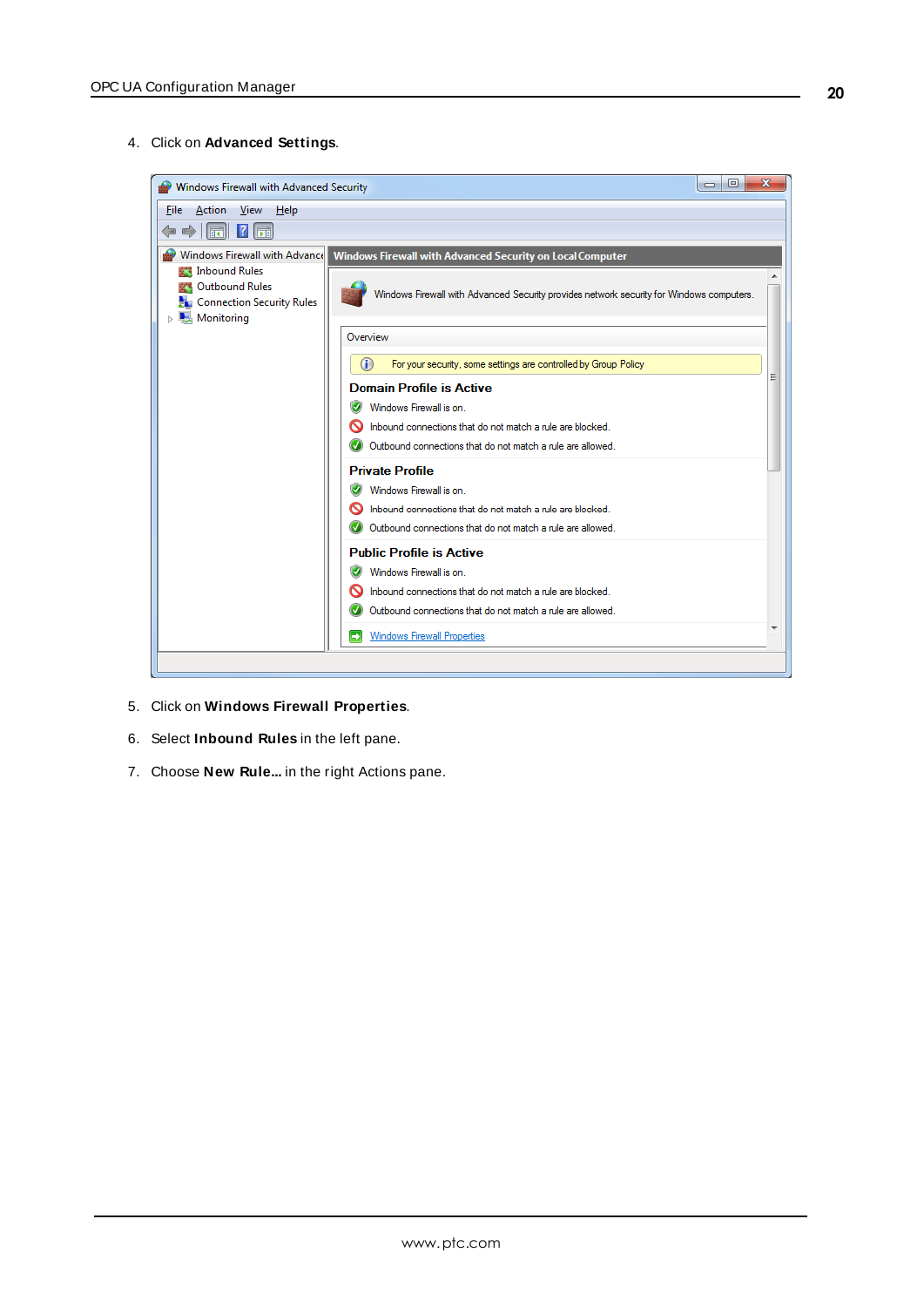4. Click on **Advanced Settings**.



- 5. Click on **Windows Firewall Properties**.
- 6. Select **Inbound Rules** in the left pane.
- 7. Choose **New Rule...** in the right Actions pane.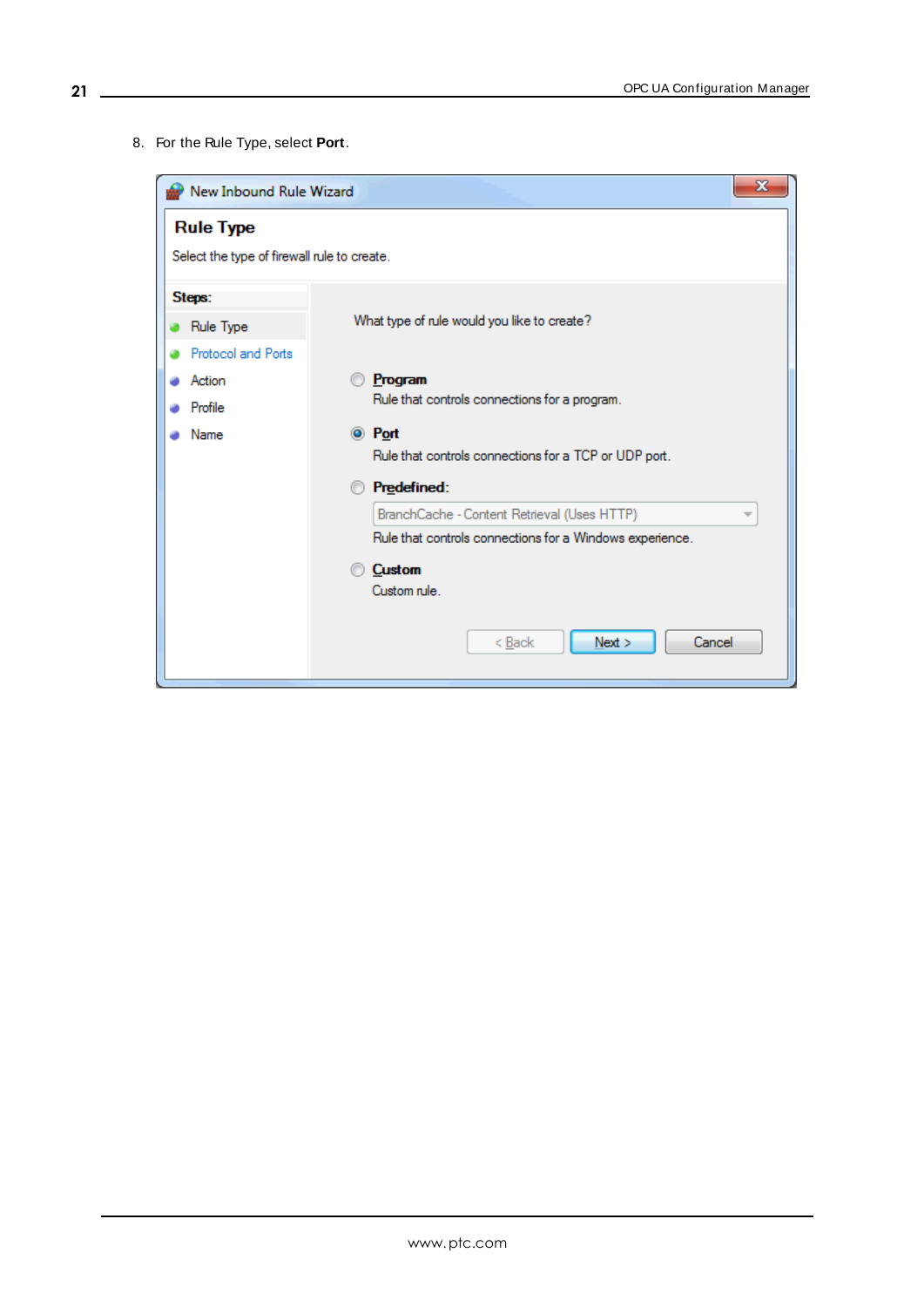8. For the Rule Type, select **Port**.

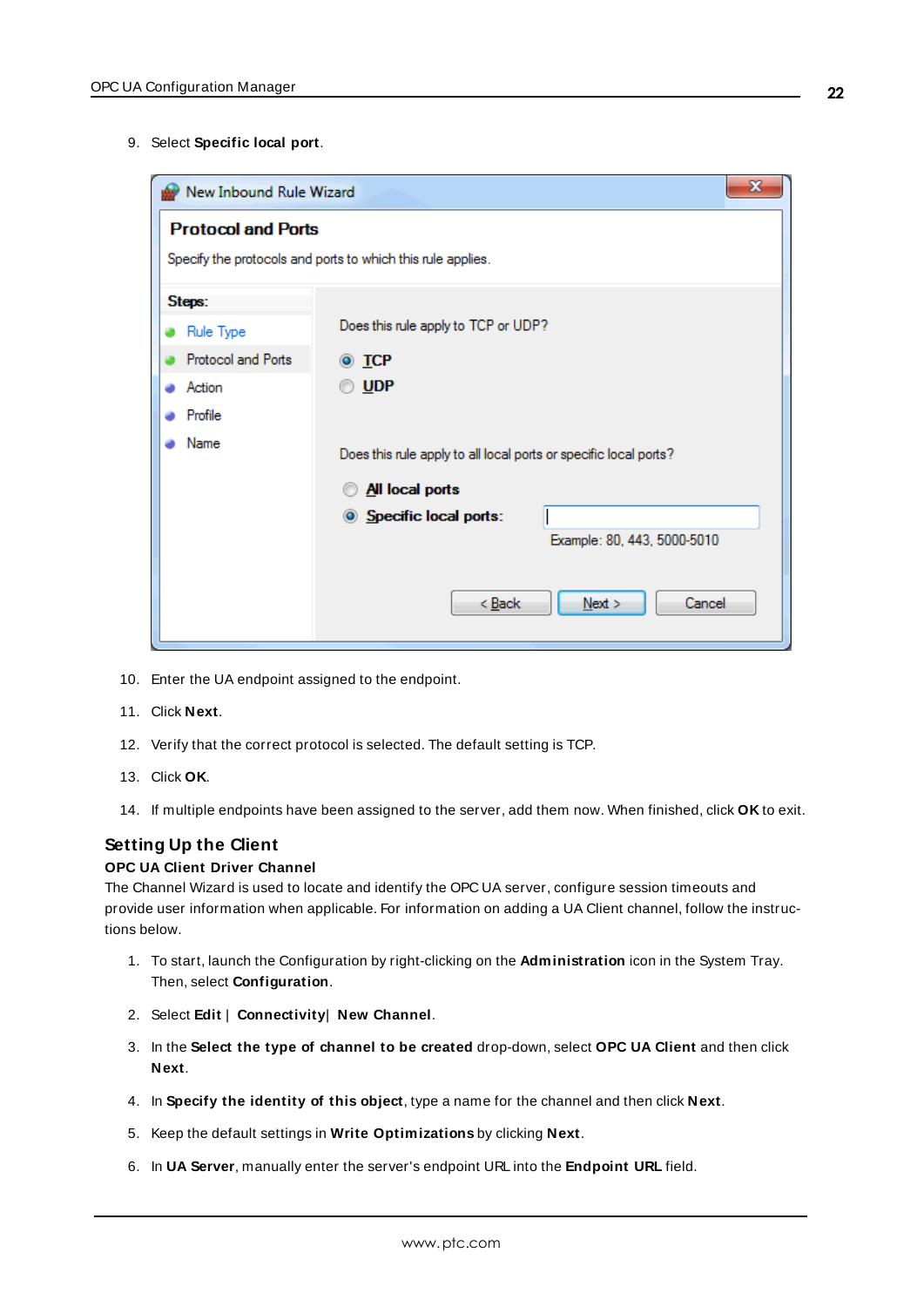9. Select **Specific local port**.

| x<br>New Inbound Rule Wizard                                |                                                                  |  |  |
|-------------------------------------------------------------|------------------------------------------------------------------|--|--|
| <b>Protocol and Ports</b>                                   |                                                                  |  |  |
| Specify the protocols and ports to which this rule applies. |                                                                  |  |  |
| Steps:                                                      |                                                                  |  |  |
| Rule Type                                                   | Does this rule apply to TCP or UDP?                              |  |  |
| Protocol and Ports                                          | $\odot$ TCP                                                      |  |  |
| Action                                                      | <b>UDP</b>                                                       |  |  |
| Profile                                                     |                                                                  |  |  |
| Name                                                        | Does this rule apply to all local ports or specific local ports? |  |  |
|                                                             | All local ports                                                  |  |  |
|                                                             | Specific local ports:                                            |  |  |
|                                                             | Example: 80, 443, 5000-5010                                      |  |  |
|                                                             |                                                                  |  |  |
|                                                             | Cancel<br>< <u>B</u> ack<br>Next                                 |  |  |
|                                                             |                                                                  |  |  |

- 10. Enter the UA endpoint assigned to the endpoint.
- 11. Click **Next**.
- 12. Verify that the correct protocol is selected. The default setting is TCP.
- 13. Click **OK**.
- 14. If multiple endpoints have been assigned to the server, add them now. When finished, click **OK** to exit.

# **Setting Up the Client**

#### **OPC UA Client Driver Channel**

The Channel Wizard is used to locate and identify the OPC UA server, configure session timeouts and provide user information when applicable. For information on adding a UA Client channel, follow the instructions below.

- 1. To start, launch the Configuration by right-clicking on the **Administration** icon in the System Tray. Then, select **Configuration**.
- 2. Select **Edit** | **Connectivity**| **New Channel**.
- 3. In the **Select the type of channel to be created** drop-down, select **OPC UA Client** and then click **Next**.
- 4. In **Specify the identity of this object**, type a name for the channel and then click **Next**.
- 5. Keep the default settings in **Write Optimizations** by clicking **Next**.
- 6. In **UA Server**, manually enter the server's endpoint URL into the **Endpoint URL** field.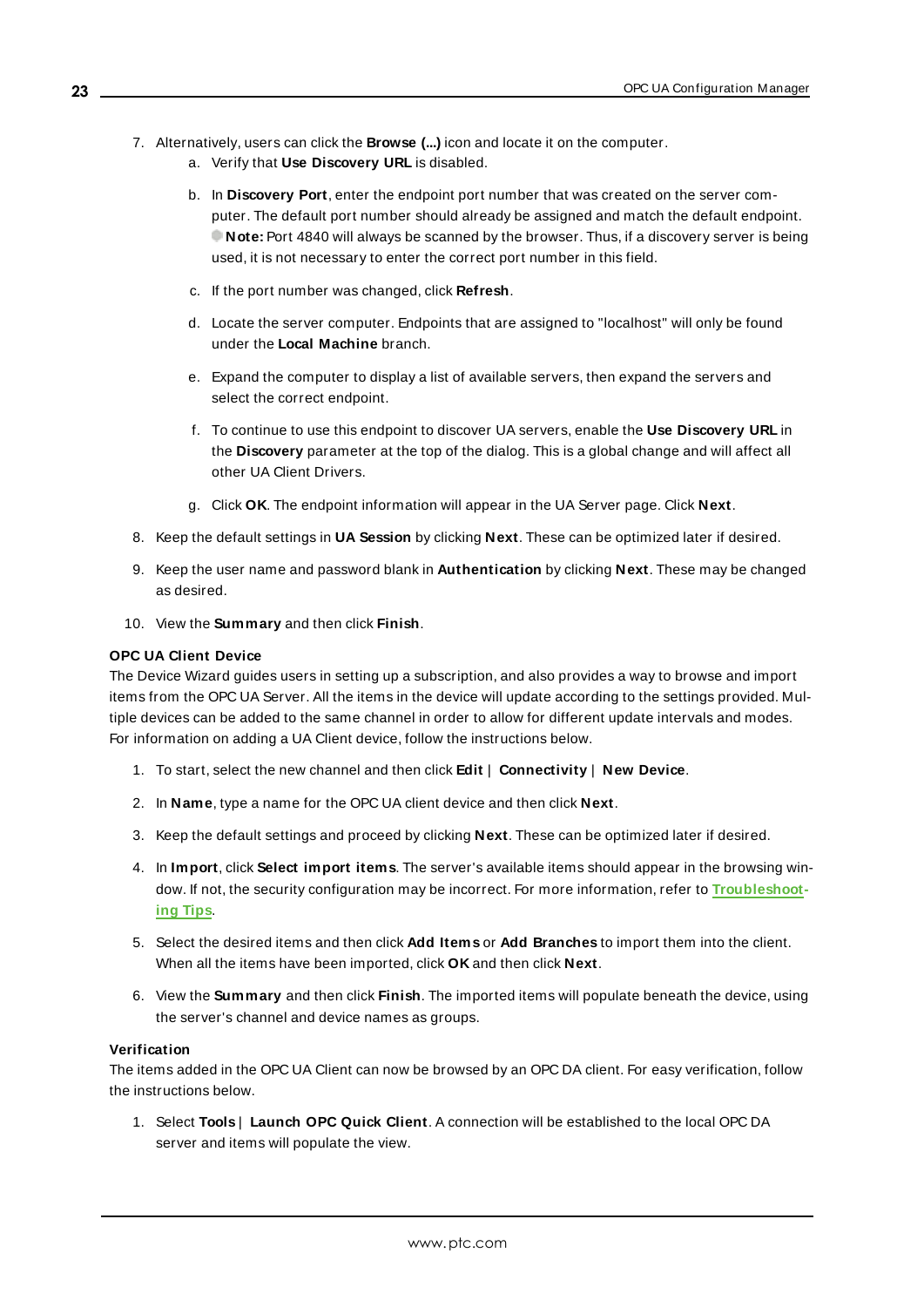- 7. Alternatively, users can click the **Browse (...)** icon and locate it on the computer.
	- a. Verify that **Use Discovery URL** is disabled.
	- b. In **Discovery Port**, enter the endpoint port number that was created on the server computer. The default port number should already be assigned and match the default endpoint. **Note:** Port 4840 will always be scanned by the browser. Thus, if a discovery server is being used, it is not necessary to enter the correct port number in this field.
	- c. If the port number was changed, click **Refresh**.
	- d. Locate the server computer. Endpoints that are assigned to "localhost" will only be found under the **Local Machine** branch.
	- e. Expand the computer to display a list of available servers, then expand the servers and select the correct endpoint.
	- f. To continue to use this endpoint to discover UA servers, enable the **Use Discovery URL** in the **Discovery** parameter at the top of the dialog. This is a global change and will affect all other UA Client Drivers.
	- g. Click **OK**. The endpoint information will appear in the UA Server page. Click **Next**.
- 8. Keep the default settings in **UA Session** by clicking **Next**. These can be optimized later if desired.
- 9. Keep the user name and password blank in **Authentication** by clicking **Next**. These may be changed as desired.
- 10. View the **Summary** and then click **Finish**.

#### **OPC UA Client Device**

The Device Wizard guides users in setting up a subscription, and also provides a way to browse and import items from the OPC UA Server. All the items in the device will update according to the settings provided. Multiple devices can be added to the same channel in order to allow for different update intervals and modes. For information on adding a UA Client device, follow the instructions below.

- 1. To start, select the new channel and then click **Edit** | **Connectivity** | **New Device**.
- 2. In **Name**, type a name for the OPC UA client device and then click **Next**.
- 3. Keep the default settings and proceed by clicking **Next**. These can be optimized later if desired.
- 4. In **Import**, click **Select import items**. The server's available items should appear in the browsing window. If not, the security configuration may be incorrect. For more information, refer to **[Troubleshoot](#page-26-0)ing [Tips](#page-26-0)**.
- 5. Select the desired items and then click **Add Items** or **Add Branches** to import them into the client. When all the items have been imported, click **OK** and then click **Next**.
- 6. View the **Summary** and then click **Finish**. The imported items will populate beneath the device, using the server's channel and device names as groups.

#### <span id="page-22-0"></span>**Verification**

The items added in the OPC UA Client can now be browsed by an OPC DA client. For easy verification, follow the instructions below.

1. Select **Tools** | **Launch OPC Quick Client**. A connection will be established to the local OPC DA server and items will populate the view.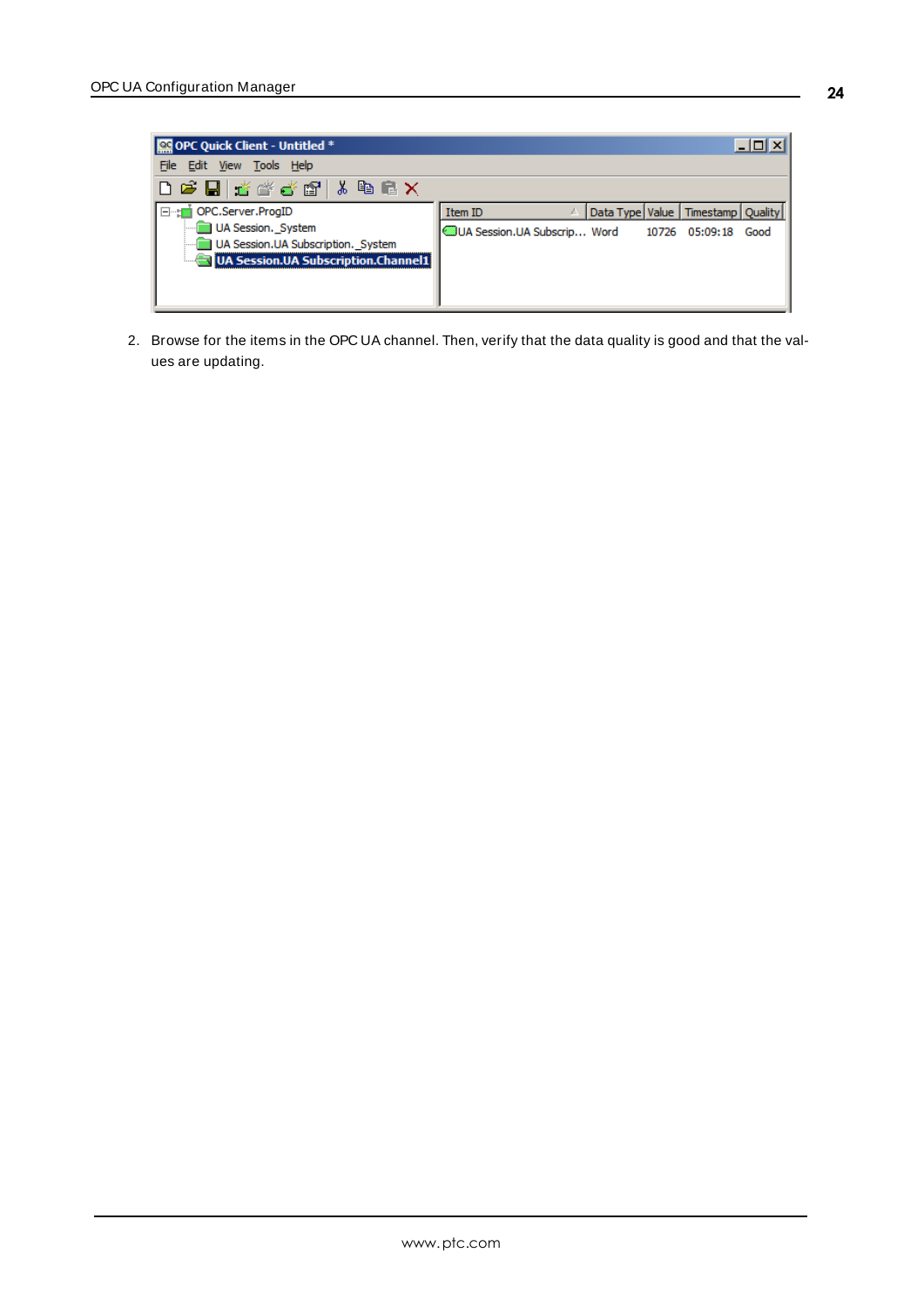

2. Browse for the items in the OPC UA channel. Then, verify that the data quality is good and that the values are updating.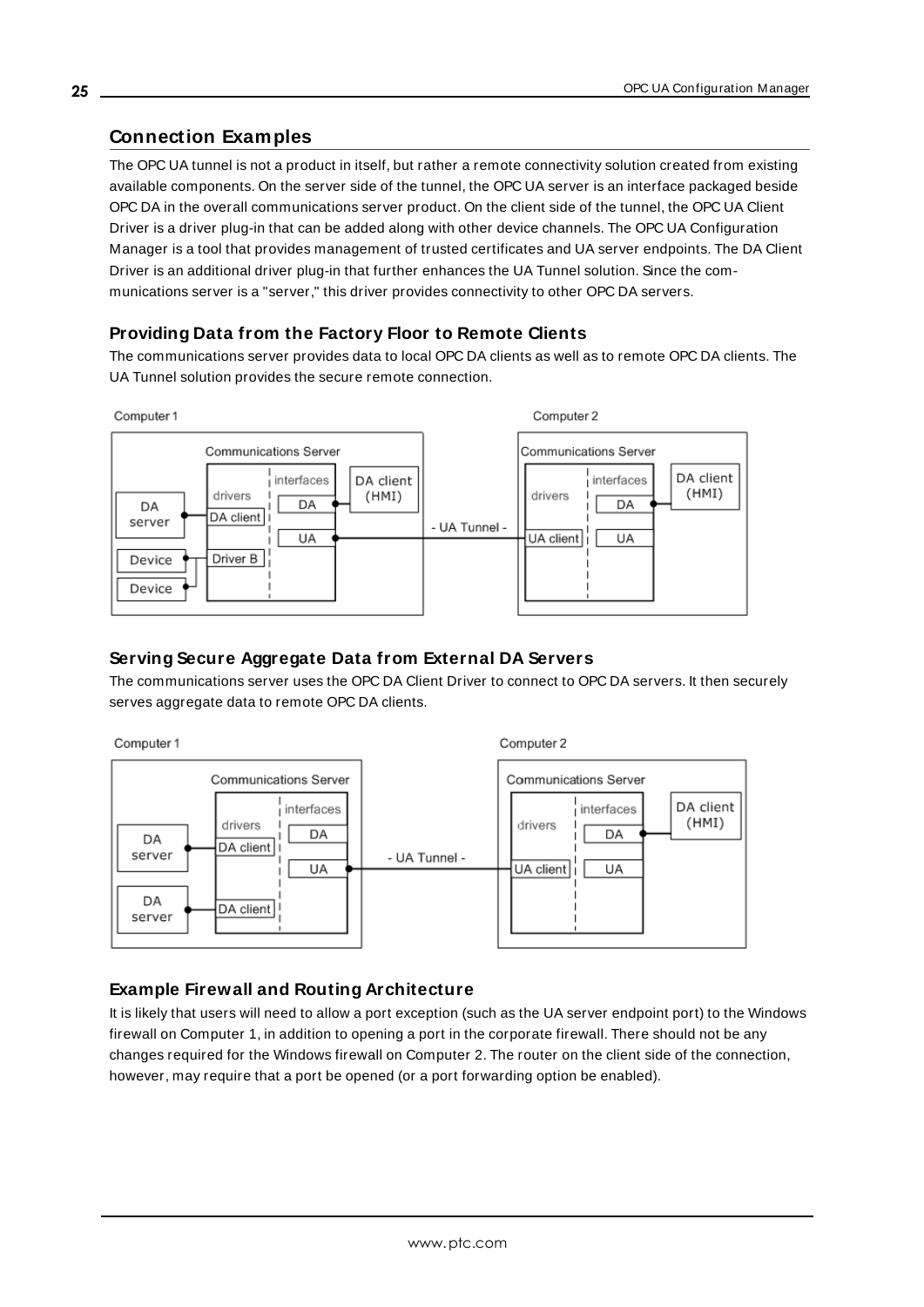# <span id="page-24-0"></span>**Connection Examples**

The OPC UA tunnel is not a product in itself, but rather a remote connectivity solution created from existing available components. On the server side of the tunnel, the OPC UA server is an interface packaged beside OPC DA in the overall communications server product. On the client side of the tunnel, the OPC UA Client Driver is a driver plug-in that can be added along with other device channels. The OPC UA Configuration Manager is a tool that provides management of trusted certificates and UA server endpoints. The DA Client Driver is an additional driver plug-in that further enhances the UA Tunnel solution. Since the communications server is a "server," this driver provides connectivity to other OPC DA servers.

# <span id="page-24-3"></span>**Providing Data from the Factory Floor to Remote Clients**

The communications server provides data to local OPC DA clients as well as to remote OPC DA clients. The UA Tunnel solution provides the secure remote connection.



# <span id="page-24-1"></span>**Serving Secure Aggregate Data from External DA Servers**

The communications server uses the OPC DA Client Driver to connect to OPC DA servers. It then securely serves aggregate data to remote OPC DA clients.



# <span id="page-24-2"></span>**Example Firewall and Routing Architecture**

It is likely that users will need to allow a port exception (such as the UA server endpoint port) to the Windows firewall on Computer 1, in addition to opening a port in the corporate firewall. There should not be any changes required for the Windows firewall on Computer 2. The router on the client side of the connection, however, may require that a port be opened (or a port forwarding option be enabled).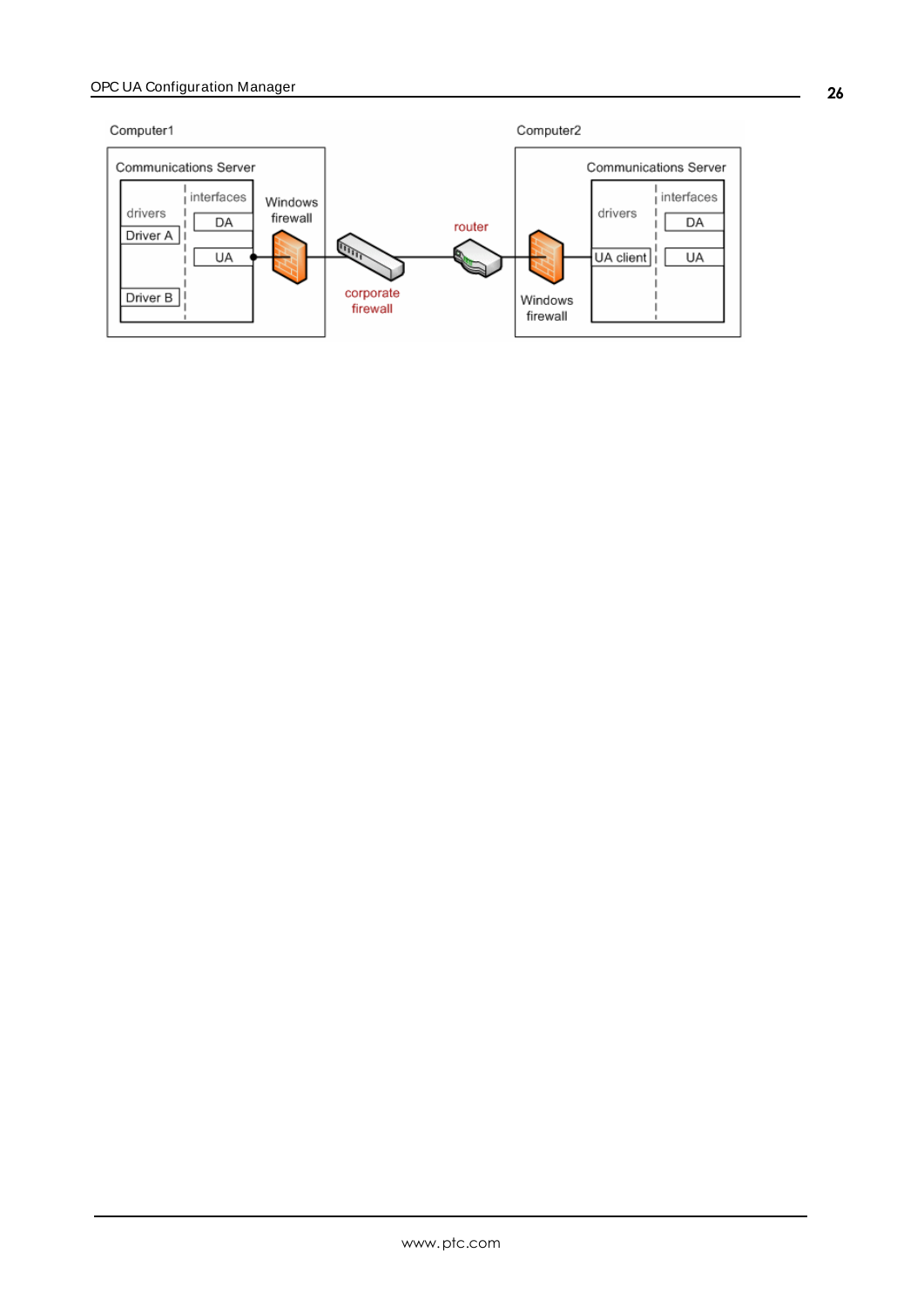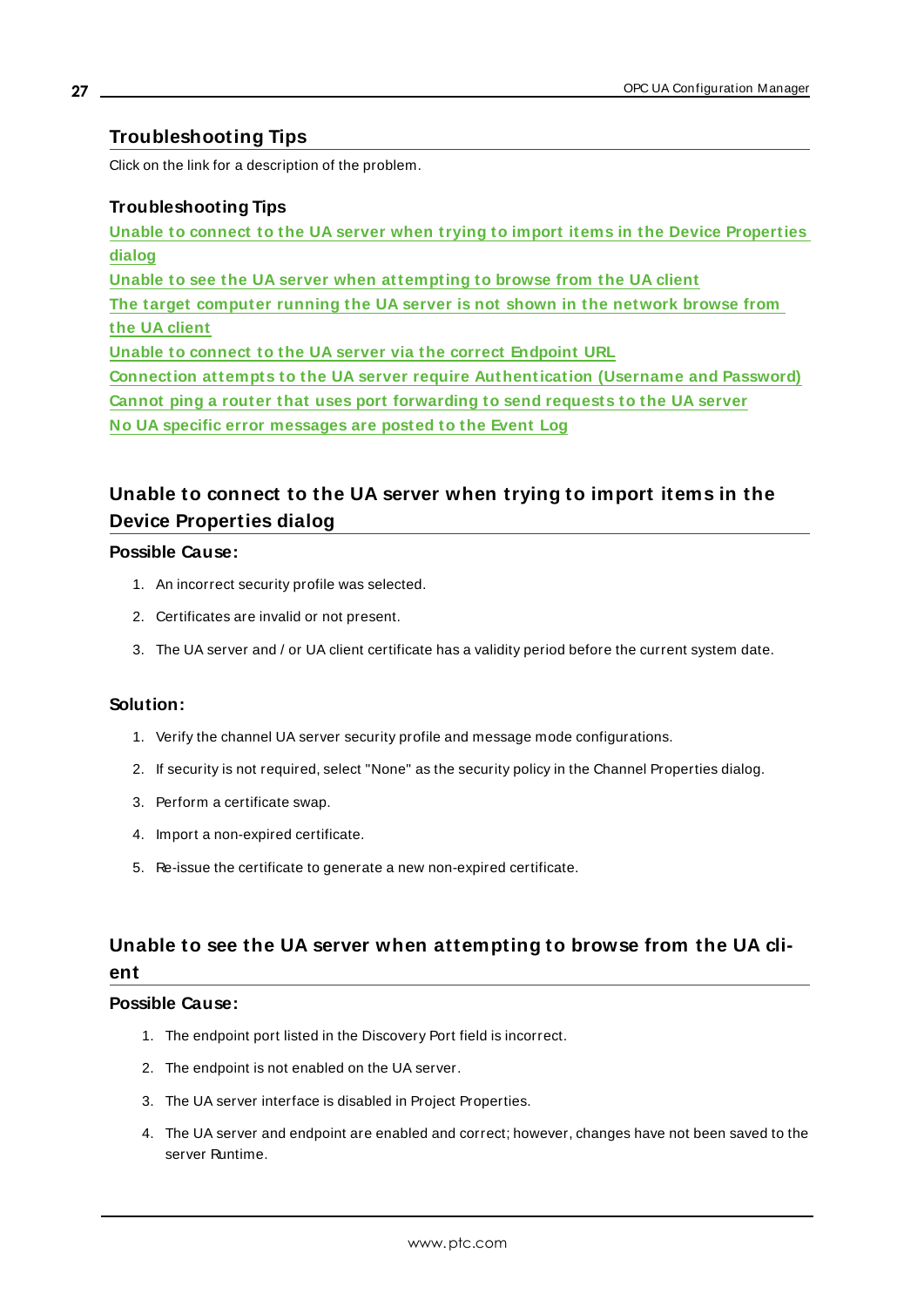# <span id="page-26-0"></span>**Troubleshooting Tips**

Click on the link for a description of the problem.

### **Troubleshooting Tips**

**Unable to connect to the UA server when trying to import items in the Device [Properties](#page-26-1) [dialog](#page-26-1) Unable to see the UA server when [attempting](#page-26-2) to browse from the UA client The target [computer](#page-27-0) running the UA server is not shown in the network browse from the UA [client](#page-27-0) Unable to connect to the UA server via the correct [Endpoint](#page-27-1) URL Connection attempts to the UA server require [Authentication](#page-28-0) (Username and Password) Cannot ping a router that uses port [forwarding](#page-28-1) to send requests to the UA server No UA specific error [messages](#page-28-2) are posted to the Event Log**

# <span id="page-26-1"></span>**Unable to connect to the UA server when trying to import items in the Device Properties dialog**

### **Possible Cause:**

- 1. An incorrect security profile was selected.
- 2. Certificates are invalid or not present.
- 3. The UA server and / or UA client certificate has a validity period before the current system date.

### **Solution:**

- 1. Verify the channel UA server security profile and message mode configurations.
- 2. If security is not required, select "None" as the security policy in the Channel Properties dialog.
- 3. Perform a certificate swap.
- 4. Import a non-expired certificate.
- 5. Re-issue the certificate to generate a new non-expired certificate.

# <span id="page-26-2"></span>**Unable to see the UA server when attempting to browse from the UA client**

### **Possible Cause:**

- 1. The endpoint port listed in the Discovery Port field is incorrect.
- 2. The endpoint is not enabled on the UA server.
- 3. The UA server interface is disabled in Project Properties.
- 4. The UA server and endpoint are enabled and correct; however, changes have not been saved to the server Runtime.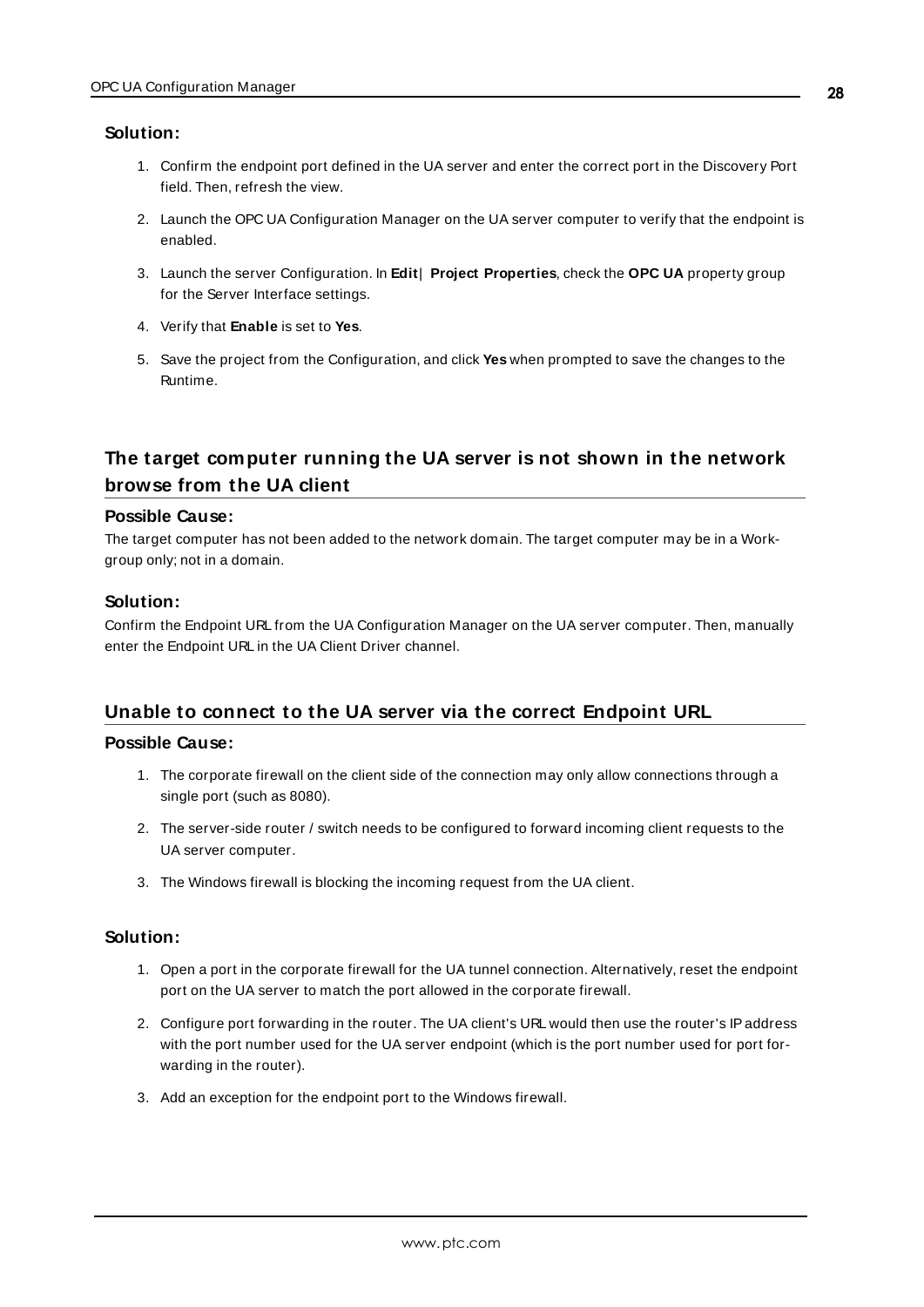#### **Solution:**

- 1. Confirm the endpoint port defined in the UA server and enter the correct port in the Discovery Port field. Then, refresh the view.
- 2. Launch the OPC UA Configuration Manager on the UA server computer to verify that the endpoint is enabled.
- 3. Launch the server Configuration. In **Edit**| **Project Properties**, check the **OPC UA** property group for the Server Interface settings.
- 4. Verify that **Enable** is set to **Yes**.
- 5. Save the project from the Configuration, and click **Yes** when prompted to save the changes to the Runtime.

# <span id="page-27-0"></span>**The target computer running the UA server is not shown in the network browse from the UA client**

#### **Possible Cause:**

The target computer has not been added to the network domain. The target computer may be in a Workgroup only; not in a domain.

### **Solution:**

Confirm the Endpoint URL from the UA Configuration Manager on the UA server computer. Then, manually enter the Endpoint URL in the UA Client Driver channel.

### <span id="page-27-1"></span>**Unable to connect to the UA server via the correct Endpoint URL**

### **Possible Cause:**

- 1. The corporate firewall on the client side of the connection may only allow connections through a single port (such as 8080).
- 2. The server-side router / switch needs to be configured to forward incoming client requests to the UA server computer.
- 3. The Windows firewall is blocking the incoming request from the UA client.

### **Solution:**

- 1. Open a port in the corporate firewall for the UA tunnel connection. Alternatively, reset the endpoint port on the UA server to match the port allowed in the corporate firewall.
- 2. Configure port forwarding in the router. The UA client's URL would then use the router's IPaddress with the port number used for the UA server endpoint (which is the port number used for port forwarding in the router).
- 3. Add an exception for the endpoint port to the Windows firewall.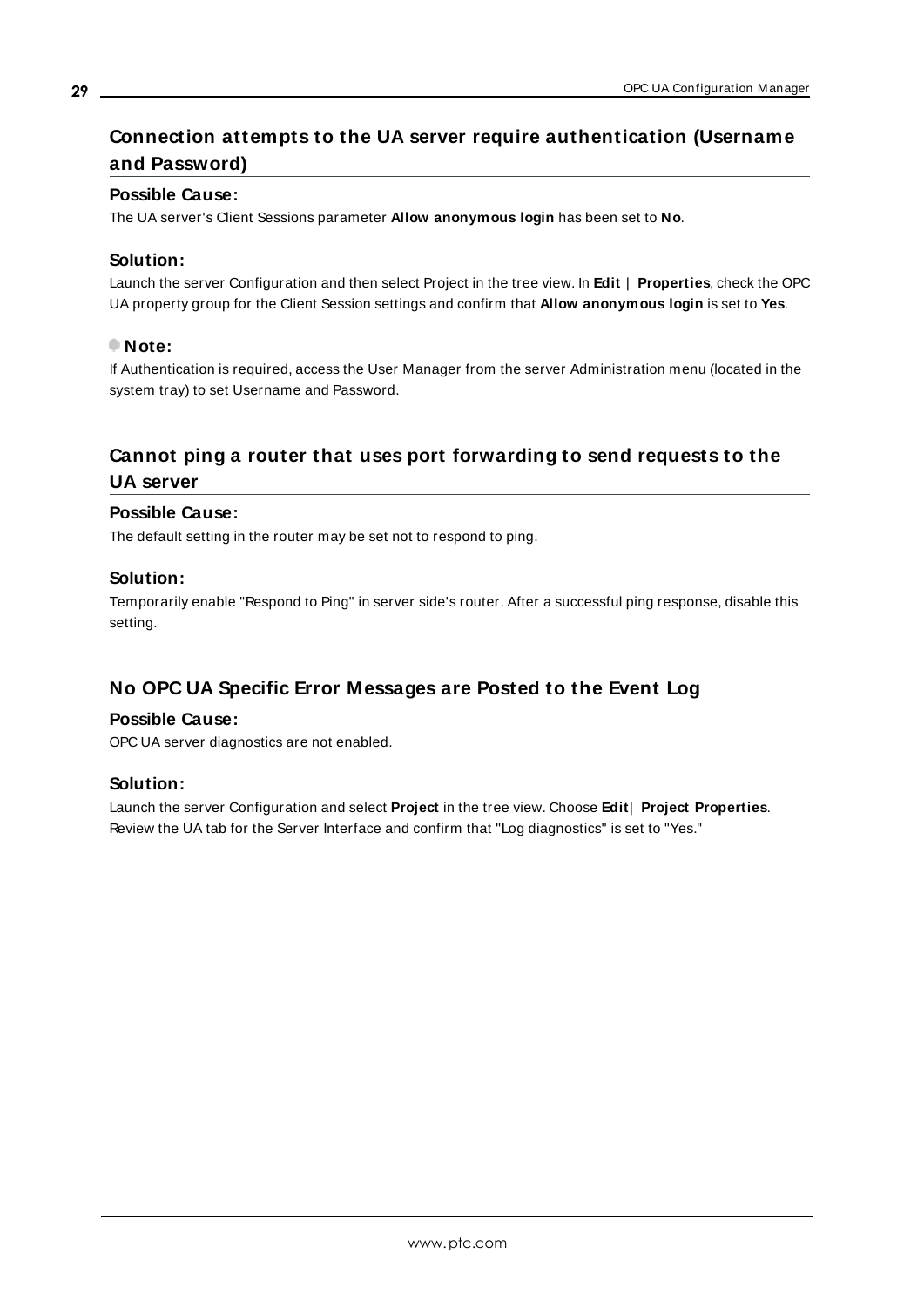# <span id="page-28-0"></span>**Connection attempts to the UA server require authentication (Username and Password)**

### **Possible Cause:**

The UA server's Client Sessions parameter **Allow anonymous login** has been set to **No**.

### **Solution:**

Launch the server Configuration and then select Project in the tree view. In **Edit** | **Properties**, check the OPC UA property group for the Client Session settings and confirm that **Allow anonymous login** is set to **Yes**.

### **Note:**

If Authentication is required, access the User Manager from the server Administration menu (located in the system tray) to set Username and Password.

# <span id="page-28-1"></span>**Cannot ping a router that uses port forwarding to send requests to the UA server**

### **Possible Cause:**

The default setting in the router may be set not to respond to ping.

### **Solution:**

Temporarily enable "Respond to Ping" in server side's router. After a successful ping response, disable this setting.

# <span id="page-28-2"></span>**No OPC UA Specific Error Messages are Posted to the Event Log**

### **Possible Cause:**

OPC UA server diagnostics are not enabled.

### **Solution:**

Launch the server Configuration and select **Project** in the tree view. Choose **Edit**| **Project Properties**. Review the UA tab for the Server Interface and confirm that "Log diagnostics" is set to "Yes."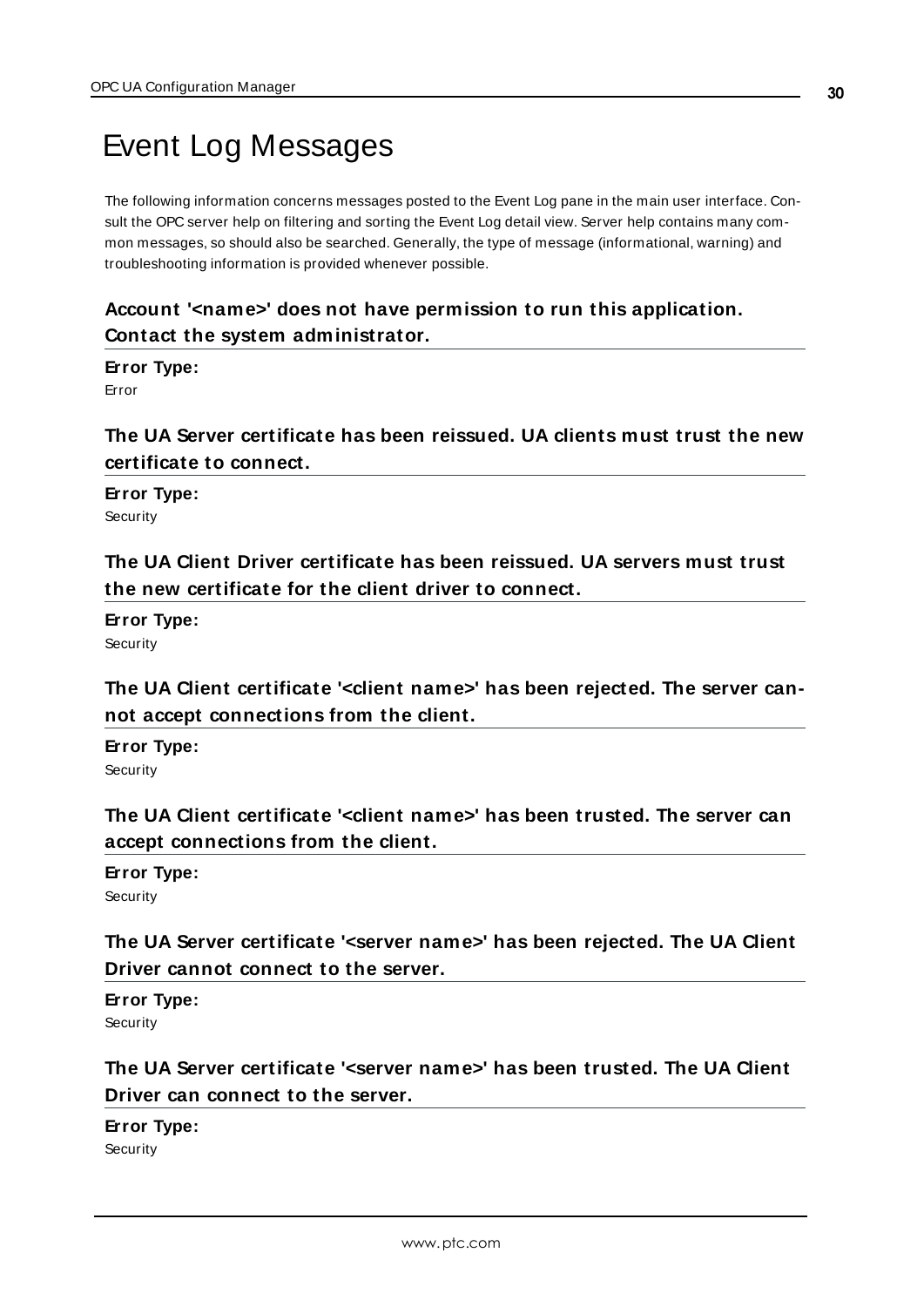# <span id="page-29-0"></span>Event Log Messages

The following information concerns messages posted to the Event Log pane in the main user interface. Consult the OPC server help on filtering and sorting the Event Log detail view. Server help contains many common messages, so should also be searched. Generally, the type of message (informational, warning) and troubleshooting information is provided whenever possible.

# <span id="page-29-1"></span>**Account '<name>' does not have permission to run this application. Contact the system administrator.**

### **Error Type:**

<span id="page-29-2"></span>Error

**The UA Server certificate has been reissued. UA clients must trust the new certificate to connect.** 

# **Error Type:**

<span id="page-29-3"></span>**Security** 

**The UA Client Driver certificate has been reissued. UA servers must trust the new certificate for the client driver to connect.** 

# **Error Type:**

<span id="page-29-4"></span>**Security** 

**The UA Client certificate '<client name>' has been rejected. The server cannot accept connections from the client.** 

**Error Type: Security** 

<span id="page-29-5"></span>**The UA Client certificate '<client name>' has been trusted. The server can accept connections from the client.** 

# **Error Type:**

<span id="page-29-6"></span>**Security** 

**The UA Server certificate '<server name>' has been rejected. The UA Client Driver cannot connect to the server.** 

## **Error Type:**

<span id="page-29-7"></span>**Security** 

# **The UA Server certificate '<server name>' has been trusted. The UA Client Driver can connect to the server.**

# **Error Type:**

**Security**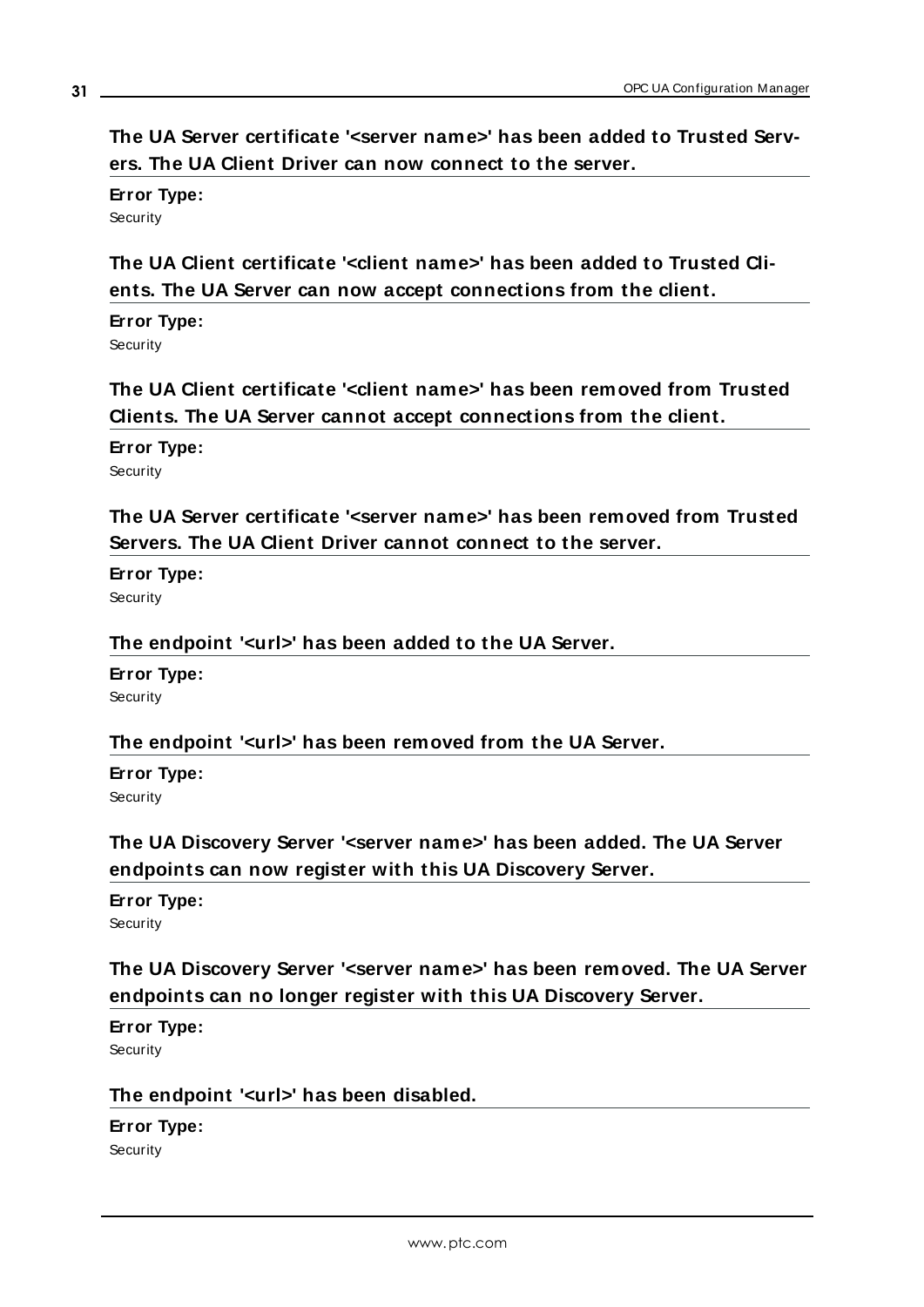<span id="page-30-0"></span>**The UA Server certificate '<server name>' has been added to Trusted Servers. The UA Client Driver can now connect to the server.** 

**Error Type:** Security

<span id="page-30-1"></span>**The UA Client certificate '<client name>' has been added to Trusted Clients. The UA Server can now accept connections from the client.** 

**Error Type: Security** 

<span id="page-30-2"></span>**The UA Client certificate '<client name>' has been removed from Trusted Clients. The UA Server cannot accept connections from the client.** 

**Error Type:**

<span id="page-30-3"></span>**Security** 

**The UA Server certificate '<server name>' has been removed from Trusted Servers. The UA Client Driver cannot connect to the server.** 

**Error Type:**

<span id="page-30-4"></span>**Security** 

**The endpoint '<url>' has been added to the UA Server.** 

**Error Type:** Security

# <span id="page-30-5"></span>**The endpoint '<url>' has been removed from the UA Server.**

# **Error Type:**

<span id="page-30-6"></span>**Security** 

**The UA Discovery Server '<server name>' has been added. The UA Server endpoints can now register with this UA Discovery Server.** 

**Error Type: Security** 

<span id="page-30-7"></span>**The UA Discovery Server '<server name>' has been removed. The UA Server endpoints can no longer register with this UA Discovery Server.** 

# **Error Type:**

<span id="page-30-8"></span>**Security** 

# **The endpoint '<url>' has been disabled.**

**Error Type: Security**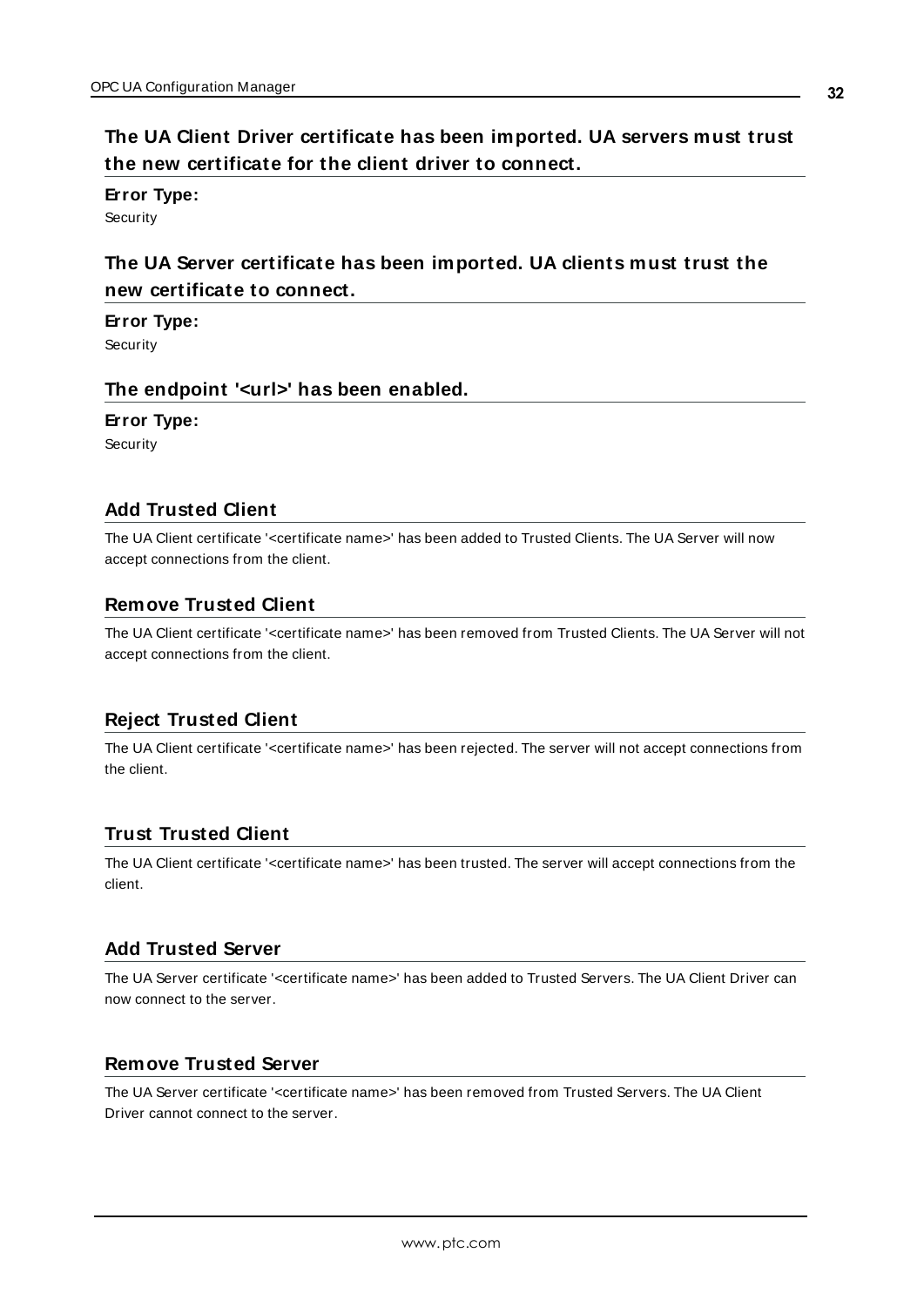# <span id="page-31-0"></span>**The UA Client Driver certificate has been imported. UA servers must trust the new certificate for the client driver to connect.**

**Error Type:**

<span id="page-31-1"></span>**Security** 

# **The UA Server certificate has been imported. UA clients must trust the new certificate to connect.**

**Error Type:**

<span id="page-31-2"></span>**Security** 

## **The endpoint '<url>' has been enabled.**

**Error Type:**

**Security** 

# <span id="page-31-3"></span>**Add Trusted Client**

The UA Client certificate '<certificate name>' has been added to Trusted Clients. The UA Server will now accept connections from the client.

### <span id="page-31-4"></span>**Remove Trusted Client**

The UA Client certificate '<certificate name>' has been removed from Trusted Clients. The UA Server will not accept connections from the client.

## <span id="page-31-5"></span>**Reject Trusted Client**

The UA Client certificate '<certificate name>' has been rejected. The server will not accept connections from the client.

# <span id="page-31-6"></span>**Trust Trusted Client**

The UA Client certificate '<certificate name>' has been trusted. The server will accept connections from the client.

## <span id="page-31-7"></span>**Add Trusted Server**

The UA Server certificate '<certificate name>' has been added to Trusted Servers. The UA Client Driver can now connect to the server.

## <span id="page-31-8"></span>**Remove Trusted Server**

The UA Server certificate '<certificate name>' has been removed from Trusted Servers. The UA Client Driver cannot connect to the server.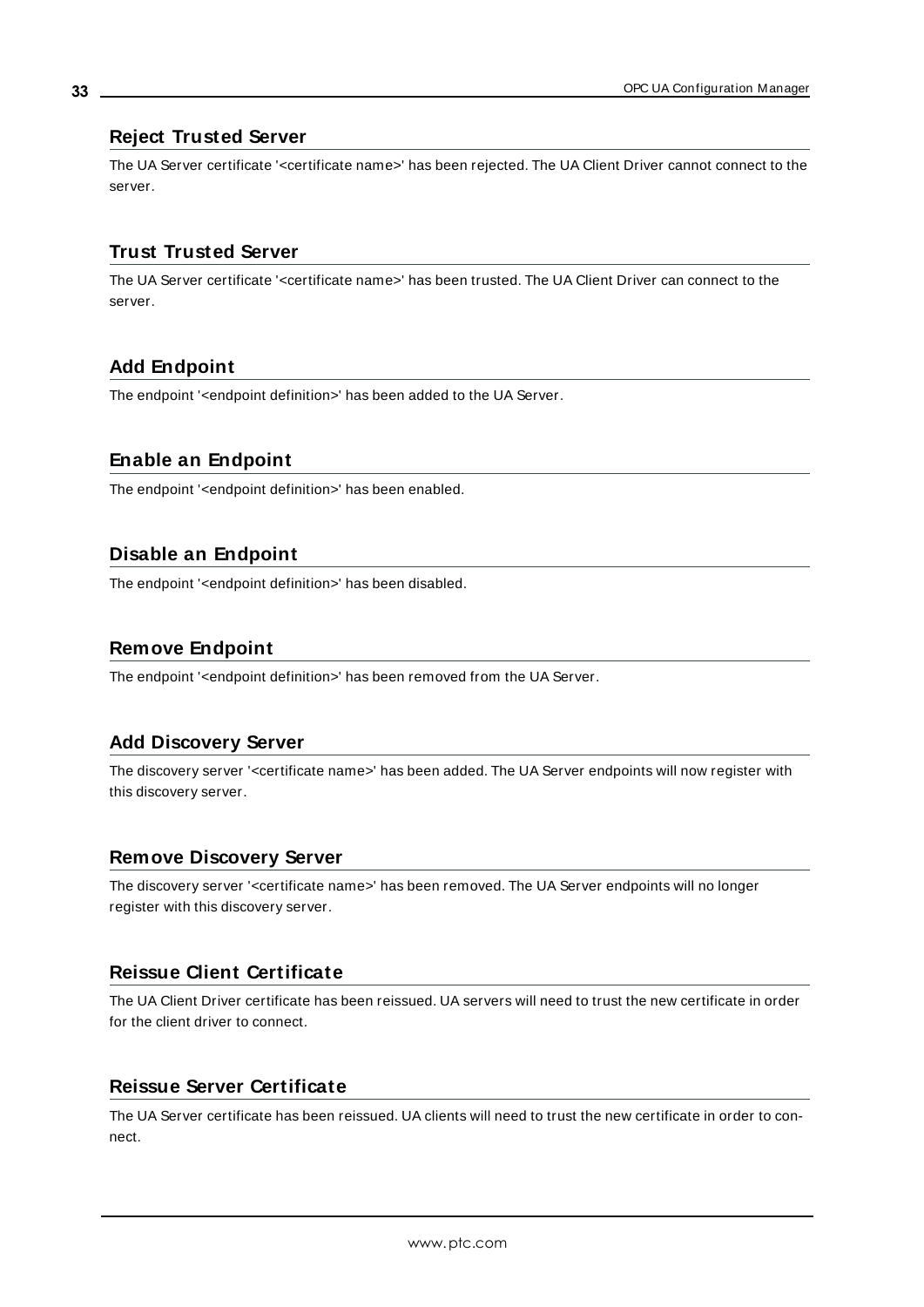### <span id="page-32-0"></span>**Reject Trusted Server**

The UA Server certificate '<certificate name>' has been rejected. The UA Client Driver cannot connect to the server.

# <span id="page-32-1"></span>**Trust Trusted Server**

The UA Server certificate '<certificate name>' has been trusted. The UA Client Driver can connect to the server.

## <span id="page-32-2"></span>**Add Endpoint**

The endpoint '<endpoint definition>' has been added to the UA Server.

## <span id="page-32-3"></span>**Enable an Endpoint**

The endpoint '<endpoint definition>' has been enabled.

# <span id="page-32-4"></span>**Disable an Endpoint**

The endpoint '<endpoint definition>' has been disabled.

## <span id="page-32-5"></span>**Remove Endpoint**

The endpoint '<endpoint definition>' has been removed from the UA Server.

## <span id="page-32-6"></span>**Add Discovery Server**

The discovery server '<certificate name>' has been added. The UA Server endpoints will now register with this discovery server.

## <span id="page-32-7"></span>**Remove Discovery Server**

The discovery server '<certificate name>' has been removed. The UA Server endpoints will no longer register with this discovery server.

## <span id="page-32-8"></span>**Reissue Client Certificate**

The UA Client Driver certificate has been reissued. UA servers will need to trust the new certificate in order for the client driver to connect.

## <span id="page-32-9"></span>**Reissue Server Certificate**

The UA Server certificate has been reissued. UA clients will need to trust the new certificate in order to connect.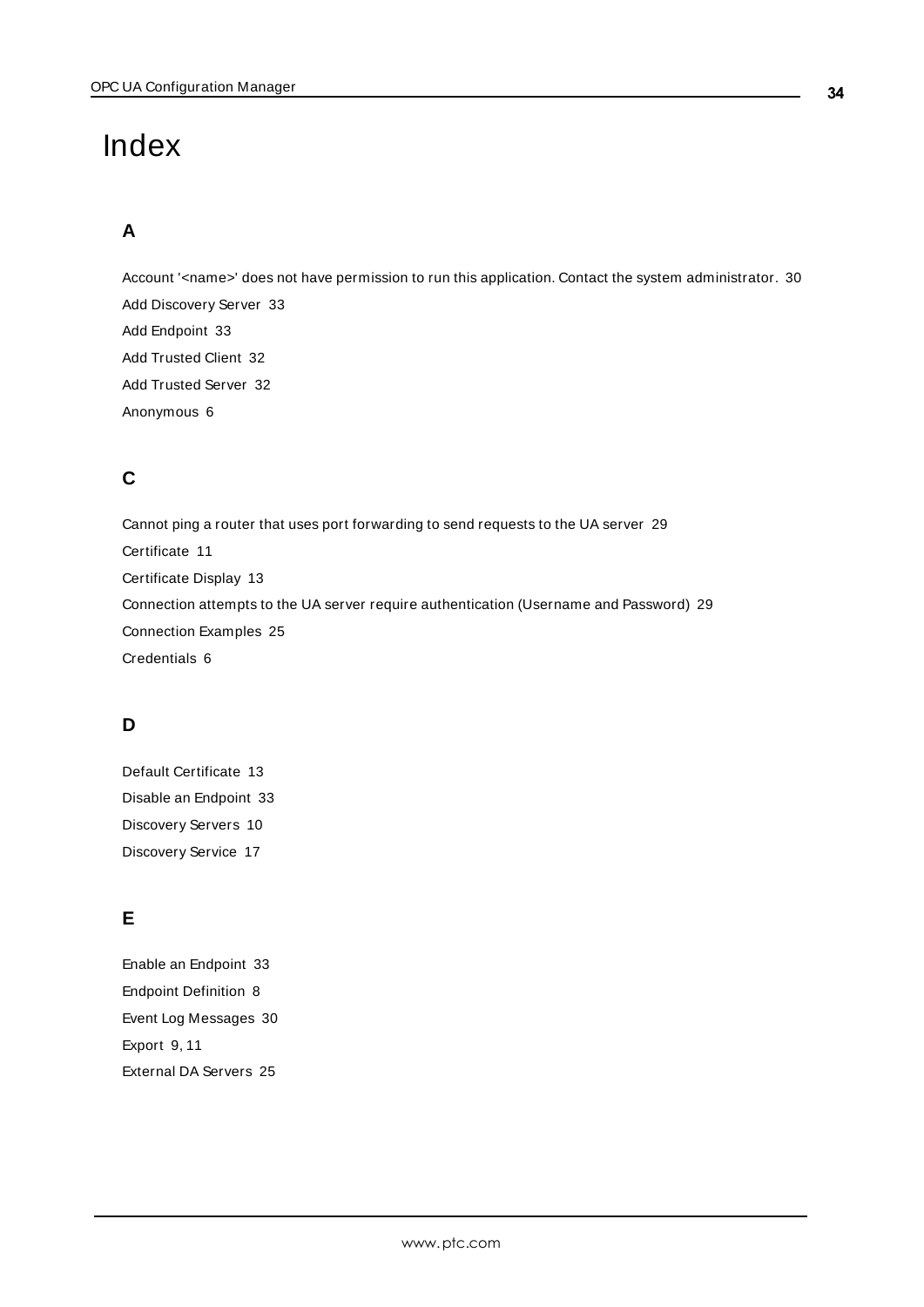# <span id="page-33-0"></span>Index

# **A**

Account '<name>' does not have permission to run this application. Contact the system administrator. [30](#page-29-1)

Add Discovery Server [33](#page-32-6) Add Endpoint [33](#page-32-2) Add Trusted Client [32](#page-31-3) Add Trusted Server [32](#page-31-7) Anonymous [6](#page-5-0)

# **C**

Cannot ping a router that uses port forwarding to send requests to the UA server [29](#page-28-1) Certificate [11](#page-10-0) Certificate Display [13](#page-12-1) Connection attempts to the UA server require authentication (Username and Password) [29](#page-28-0) Connection Examples [25](#page-24-0) Credentials [6](#page-5-0)

# **D**

Default Certificate [13](#page-12-2) Disable an Endpoint [33](#page-32-4) Discovery Servers [10](#page-9-0) Discovery Service [17](#page-16-0)

# **E**

Enable an Endpoint [33](#page-32-3) Endpoint Definition [8](#page-7-0) Event Log Messages [30](#page-29-0) Export [9,](#page-8-1) [11](#page-10-1) External DA Servers [25](#page-24-1)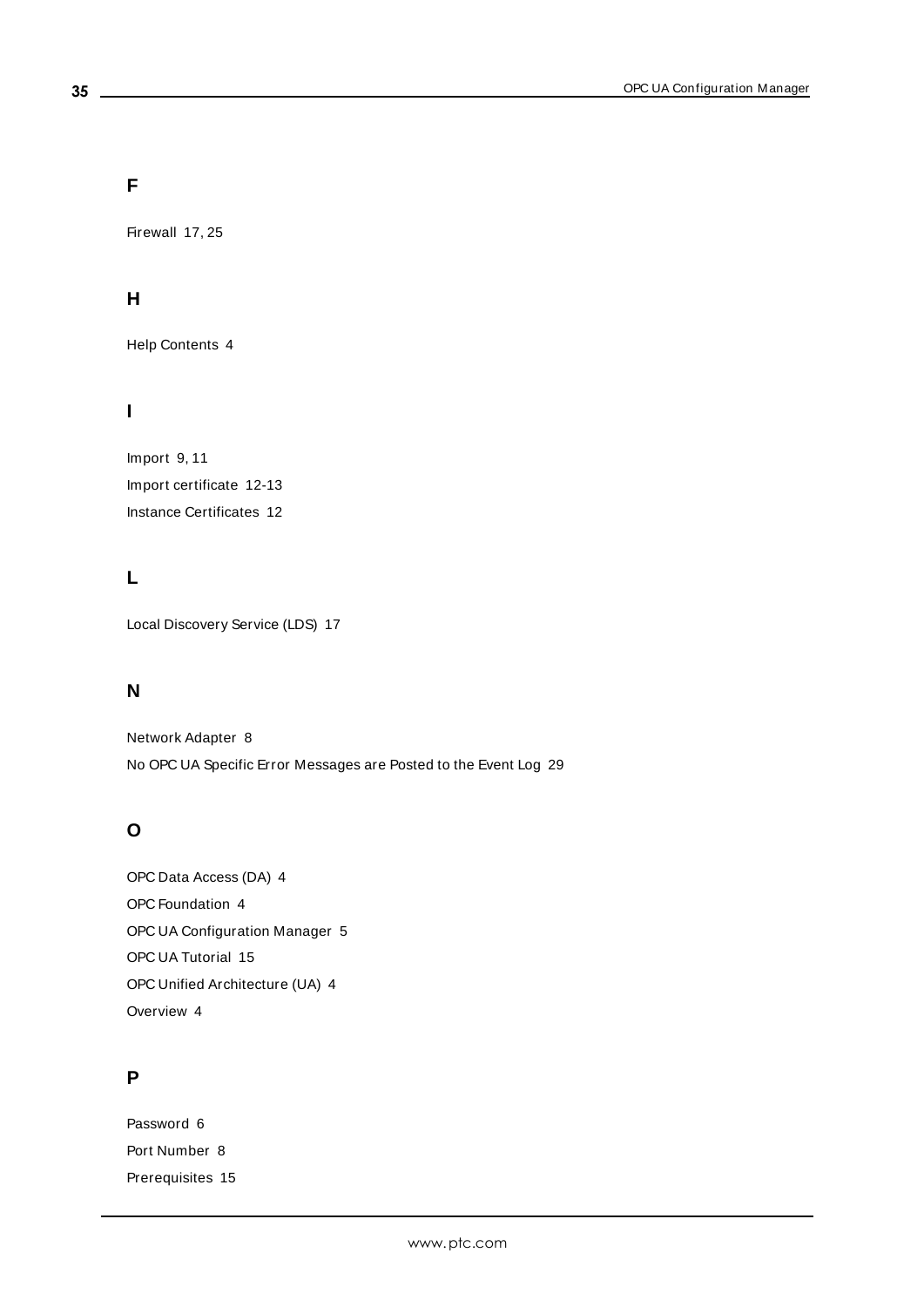# **F**

Firewall [17](#page-16-1), [25](#page-24-2)

# **H**

Help Contents [4](#page-3-0)

# **I**

Import [9](#page-8-2), [11](#page-10-2) Import certificate [12-13](#page-11-1) Instance Certificates [12](#page-11-0)

# **L**

Local Discovery Service (LDS) [17](#page-16-2)

# **N**

Network Adapter [8](#page-7-1) No OPC UA Specific Error Messages are Posted to the Event Log [29](#page-28-2)

# **O**

OPC Data Access (DA) [4](#page-3-2) OPC Foundation [4](#page-3-2) OPC UA Configuration Manager [5](#page-4-0) OPC UA Tutorial [15](#page-14-0) OPC Unified Architecture (UA) [4](#page-3-2) Overview [4](#page-3-1)

# **P**

Password [6](#page-5-0) Port Number [8](#page-7-2) Prerequisites [15](#page-14-2)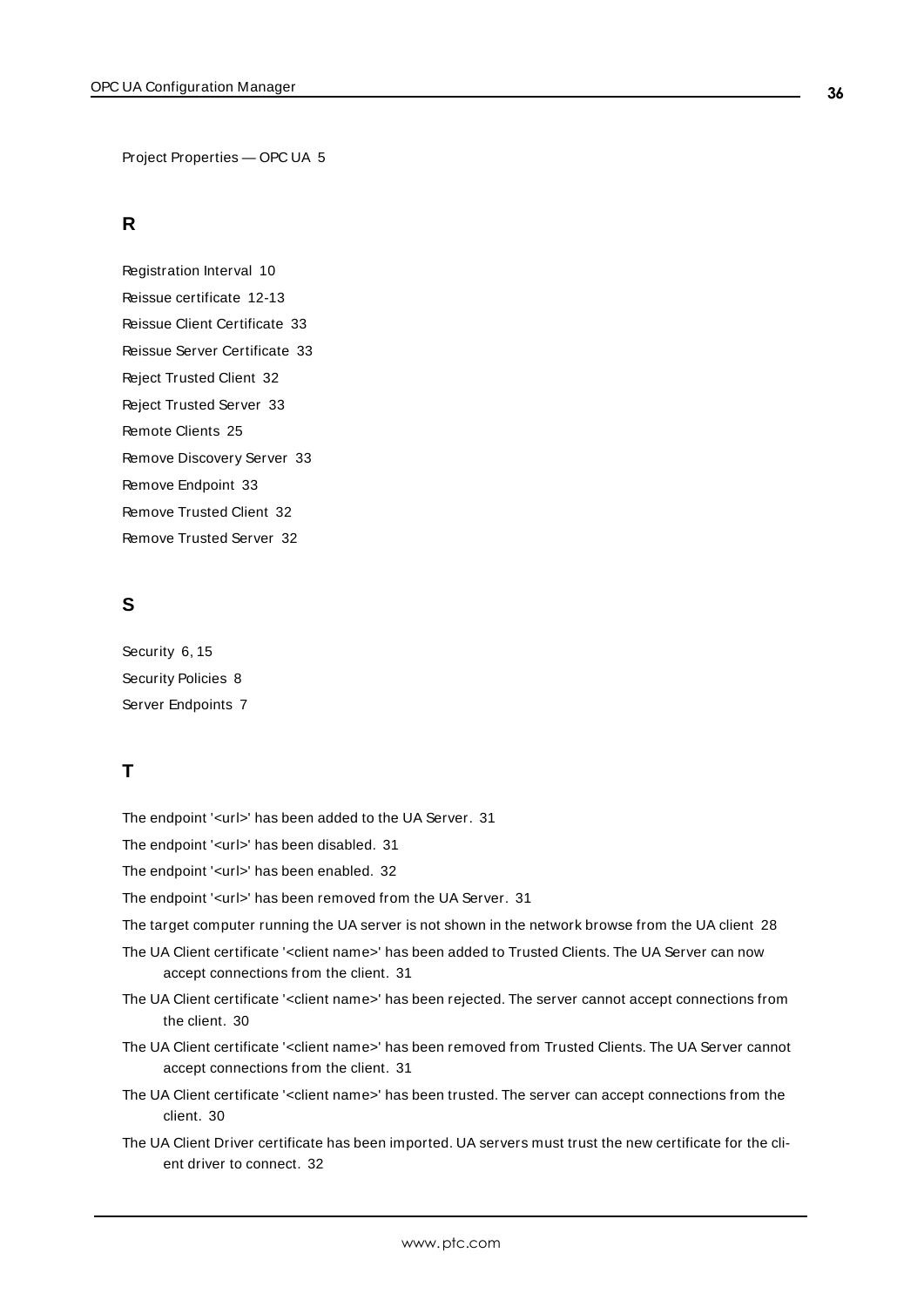Project Properties — OPC UA [5](#page-4-1)

# **R**

Registration Interval [10](#page-9-2) Reissue certificate [12-13](#page-11-2) Reissue Client Certificate [33](#page-32-8) Reissue Server Certificate [33](#page-32-9) Reject Trusted Client [32](#page-31-5) Reject Trusted Server [33](#page-32-0) Remote Clients [25](#page-24-3) Remove Discovery Server [33](#page-32-7) Remove Endpoint [33](#page-32-5) Remove Trusted Client [32](#page-31-4) Remove Trusted Server [32](#page-31-8)

# **S**

Security [6](#page-5-0), [15](#page-14-3) Security Policies [8](#page-7-3) Server Endpoints [7](#page-6-0)

# **T**

The endpoint '<url>' has been added to the UA Server. [31](#page-30-4)

The endpoint '<url>' has been disabled. [31](#page-30-8)

The endpoint '<url>' has been enabled. [32](#page-31-2)

The endpoint '<url>' has been removed from the UA Server. [31](#page-30-5)

The target computer running the UA server is not shown in the network browse from the UA client [28](#page-27-0)

- The UA Client certificate '<client name>' has been added to Trusted Clients. The UA Server can now accept connections from the client. [31](#page-30-1)
- The UA Client certificate '<client name>' has been rejected. The server cannot accept connections from the client. [30](#page-29-4)
- The UA Client certificate '<client name>' has been removed from Trusted Clients. The UA Server cannot accept connections from the client. [31](#page-30-2)
- The UA Client certificate '<client name>' has been trusted. The server can accept connections from the client. [30](#page-29-5)
- The UA Client Driver certificate has been imported. UA servers must trust the new certificate for the client driver to connect. [32](#page-31-0)